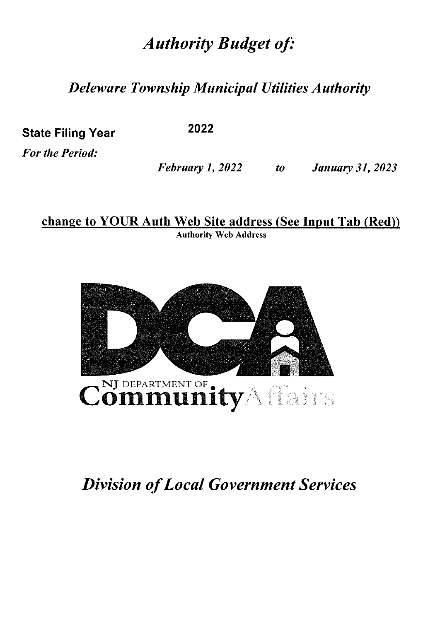## *Authority Budget of:*

*Deleware Township Municipal Utilities Authority* 

State Filing Year

**2022** 

*For the Period:* 

*February 1, 2022 to January 31, 2023* 

change to YOUR Auth Web Site address (See Input Tab (Red)) Authority Web Address



## *Division of Local Government Services*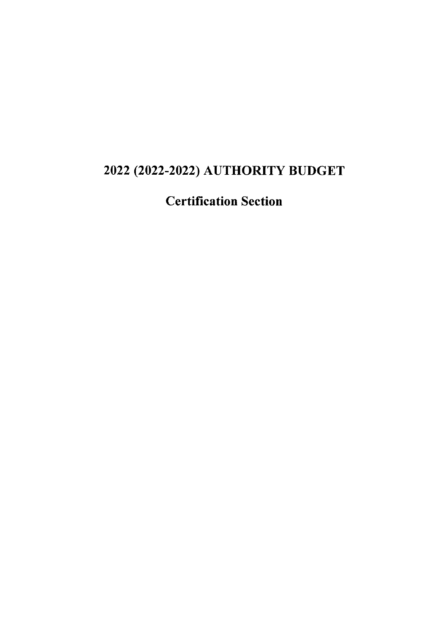## 2022 (2022-2022) AUTHORITY BUDGET

Certification Section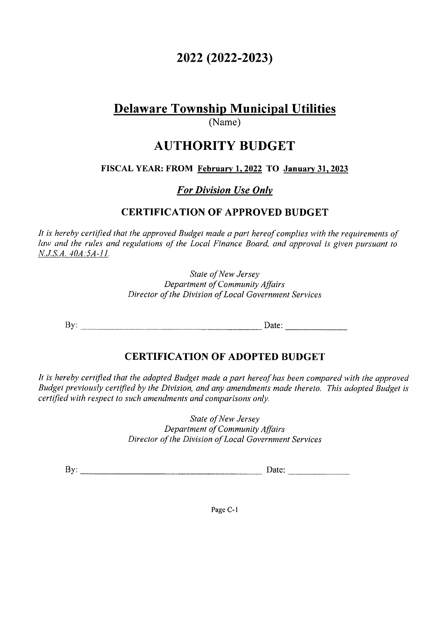## **2022 (2022-2023)**

## **Delaware Township Municipal Utilities**

(Name)

## **AUTHORITY BUDGET**

**FISCAL YEAR: FROM February I, 2022 TO January 31, 2023** 

*For Division Use Only* 

#### **CERTIFICATION OF APPROVED BUDGET**

It is hereby certified that the approved Budget made a part hereof complies with the requirements of *law and the rules and regulations of the Local Finance Board, and approval is given pursuant to N.J.S.A. 40A:5A-11.* 

> *State of New Jersey Department of Community Affairs Director of the Division of Local Government Services*

By: \_\_\_\_\_\_\_\_\_\_\_\_\_\_\_\_\_ Date: \_\_\_\_\_ \_

#### **CERTIFICATION OF ADOPTED BUDGET**

*It is hereby certified that the adopted Budget made a part hereof has been compared with the approved Budget previously certified by the Division, and any amendments made thereto. This adopted Budget is certified with respect to such amendments and comparisons only.* 

> *State of New Jersey Department of Community Affairs Director of the Division of Local Government Services*

By: \_\_\_\_\_\_\_\_\_\_\_\_\_\_\_\_\_ Date: \_\_\_\_\_ \_

Page C-1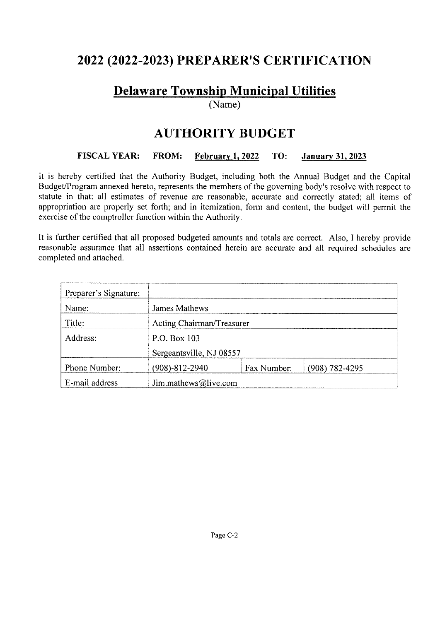## **2022 (2022-2023) PREPARER'S CERTIFICATION**

## **Delaware Township Municipal Utilities**

(Name)

## **AUTHORITY BUDGET**

#### **FISCAL YEAR: FROM: February 1, 2022 TO: January 31, 2023**

It is hereby certified that the Authority Budget, including both the Annual Budget and the Capital Budget/Program annexed hereto, represents the members of the governing body's resolve with respect to statute in that: all estimates of revenue are reasonable, accurate and correctly stated; all items of appropriation are properly set forth; and in itemization, form and content, the budget will permit the exercise of the comptroller function within the Authority.

It is further certified that all proposed budgeted amounts and totals are correct. Also, I hereby provide reasonable assurance that all assertions contained herein are accurate and all required schedules are completed and attached.

| Preparer's Signature: |                           |                          |                    |  |  |  |  |  |
|-----------------------|---------------------------|--------------------------|--------------------|--|--|--|--|--|
| Name:                 | James Mathews             |                          |                    |  |  |  |  |  |
| Title:                | Acting Chairman/Treasurer |                          |                    |  |  |  |  |  |
| Address:              | P.O. Box 103              |                          |                    |  |  |  |  |  |
|                       |                           | Sergeantsville, NJ 08557 |                    |  |  |  |  |  |
| Phone Number:         | $(908)-812-2940$          | Fax Number:              | $(908) 782 - 4295$ |  |  |  |  |  |
| E-mail address        | Jim.mathews@live.com      |                          |                    |  |  |  |  |  |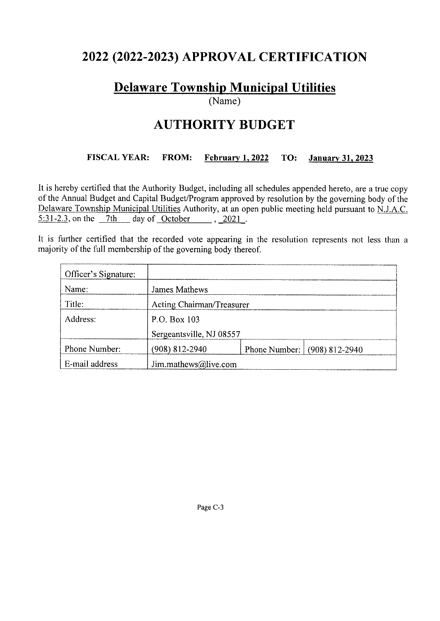## **2022 (2022-2023) APPROVAL CERTIFICATION**

## **Delaware Township Municipal Utilities**

(Name)

## **AUTHORITY BUDGET**

#### **FISCAL YEAR: FROM: February I, 2022 TO: January 31, 2023**

It is hereby certified that the Authority Budget, including all schedules appended hereto, are a true copy of the Annual Budget and Capital Budget/Program approved by resolution by the governing body of the Delaware Township Municipal Utilities Authority, at an open public meeting held pursuant to N.J.A.C.  $5:31-2.3$ , on the  $7th$  day of October , 2021.

It is further certified that the recorded vote appearing in the resolution represents not less than a majority of the full membership of the governing body thereof.

| Officer's Signature: |                           |                          |                              |  |  |  |  |  |
|----------------------|---------------------------|--------------------------|------------------------------|--|--|--|--|--|
| Name:                | <b>James Mathews</b>      |                          |                              |  |  |  |  |  |
| Title:               | Acting Chairman/Treasurer |                          |                              |  |  |  |  |  |
| Address:             | P.O. Box 103              |                          |                              |  |  |  |  |  |
|                      |                           | Sergeantsville, NJ 08557 |                              |  |  |  |  |  |
| Phone Number:        | $(908)$ 812-2940          |                          | Phone Number: (908) 812-2940 |  |  |  |  |  |
| E-mail address       | Jim.mathews@live.com      |                          |                              |  |  |  |  |  |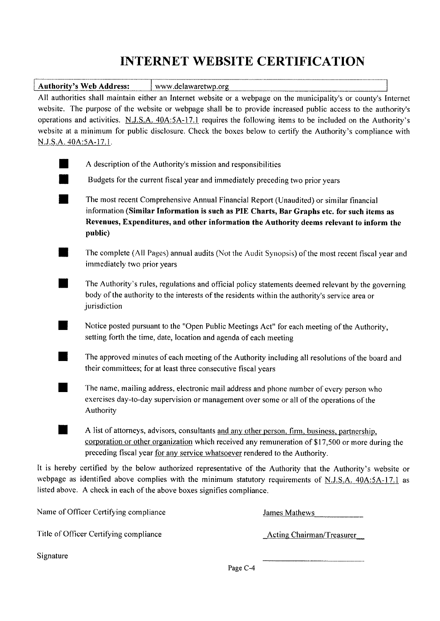## **INTERNET WEBSITE CERTIFICATION**

| <b>Authority's Web Address:</b>       | www.delawaretwp.org                                                                                               |  |
|---------------------------------------|-------------------------------------------------------------------------------------------------------------------|--|
|                                       | All authorities shall maintain either an Internet website or a webpage on the municipality's or county's Internet |  |
|                                       | website. The purpose of the website or webpage shall be to provide increased public access to the authority's     |  |
|                                       | operations and activities. N.J.S.A. 40A:5A-17.1 requires the following items to be included on the Authority's    |  |
|                                       | website at a minimum for public disclosure. Check the boxes below to certify the Authority's compliance with      |  |
| N.J.S.A. 40A:5A-17.1.                 |                                                                                                                   |  |
|                                       |                                                                                                                   |  |
|                                       | A description of the Authority's mission and responsibilities                                                     |  |
|                                       | Budgets for the current fiscal year and immediately preceding two prior years                                     |  |
|                                       | The most recent Comprehensive Annual Financial Report (Unaudited) or similar financial                            |  |
|                                       | information (Similar Information is such as PIE Charts, Bar Graphs etc. for such items as                         |  |
|                                       | Revenues, Expenditures, and other information the Authority deems relevant to inform the                          |  |
| public)                               |                                                                                                                   |  |
|                                       |                                                                                                                   |  |
|                                       | The complete (All Pages) annual audits (Not the Audit Synopsis) of the most recent fiscal year and                |  |
| immediately two prior years           |                                                                                                                   |  |
|                                       | The Authority's rules, regulations and official policy statements deemed relevant by the governing                |  |
|                                       | body of the authority to the interests of the residents within the authority's service area or                    |  |
| jurisdiction                          |                                                                                                                   |  |
|                                       |                                                                                                                   |  |
|                                       | Notice posted pursuant to the "Open Public Meetings Act" for each meeting of the Authority,                       |  |
|                                       | setting forth the time, date, location and agenda of each meeting                                                 |  |
|                                       |                                                                                                                   |  |
|                                       | The approved minutes of each meeting of the Authority including all resolutions of the board and                  |  |
|                                       | their committees; for at least three consecutive fiscal years                                                     |  |
|                                       |                                                                                                                   |  |
|                                       | The name, mailing address, electronic mail address and phone number of every person who                           |  |
|                                       | exercises day-to-day supervision or management over some or all of the operations of the                          |  |
| Authority                             |                                                                                                                   |  |
|                                       | A list of attorneys, advisors, consultants and any other person, firm, business, partnership,                     |  |
|                                       | corporation or other organization which received any remuneration of \$17,500 or more during the                  |  |
|                                       | preceding fiscal year for any service whatsoever rendered to the Authority.                                       |  |
|                                       |                                                                                                                   |  |
|                                       | It is hereby certified by the below authorized representative of the Authority that the Authority's website or    |  |
|                                       | webpage as identified above complies with the minimum statutory requirements of N.J.S.A. 40A:5A-17.1 as           |  |
|                                       | listed above. A check in each of the above boxes signifies compliance.                                            |  |
| Name of Officer Certifying compliance | James Mathews                                                                                                     |  |
|                                       |                                                                                                                   |  |

Title of Officer Certifying compliance Acting Chairman/Treasurer

Signature

Page C-4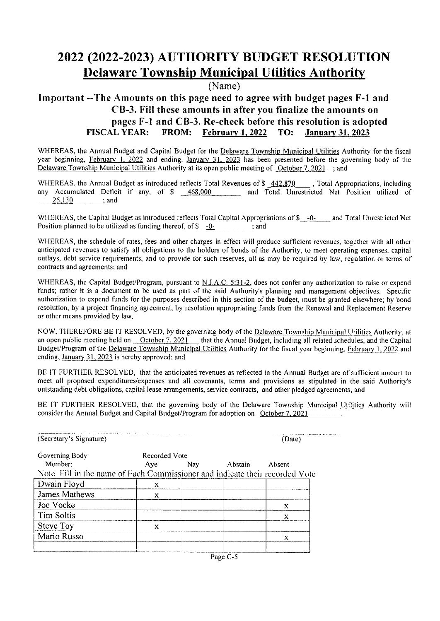## **2022 (2022-2023) AUTHORITY BUDGET RESOLUTION Delaware Township Municipal Utilities Authority**

(Name)

#### **Important --The Amounts on this page need to agree with budget pages F-1 and CB-3. Fill these amounts in after you finalize the amounts on**  pages F-1 and CB-3. Re-check before this resolution is adopted<br>**FISCAL YEAR:** FROM: February 1, 2022 TO: January 31, 2023 **FISCAL YEAR: FROM: February I, 2022 TO: January 31, 2023**

WHEREAS, the Annual Budget and Capital Budget for the Delaware Township Municipal Utilities Authority for the fiscal year beginning, February I. 2022 and ending, January 31, 2023 has been presented before the governing body of the Delaware Township Municipal Utilities Authority at its open public meeting of October 7, 2021 ; and

WHEREAS, the Annual Budget as introduced reflects Total Revenues of \$ 442,870 , Total Appropriations, including any Accumulated Deficit if any, of  $\frac{\sqrt{6468,000}}{25,130}$  and Total Unrestricted Net Position utilized of  $\ldots$ ; and

WHEREAS, the Capital Budget as introduced reflects Total Capital Appropriations of \$ -0- and Total Unrestricted Net Position planned to be utilized as funding thereof, of  $\$\sim 0$ - $\$\sim$ ; and

WHEREAS, the schedule of rates, fees and other charges in effect will produce sufficient revenues, together with all other anticipated revenues to satisfy all obligations to the holders of bonds of the Authority, to meet operating expenses, capital outlays, debt service requirements, and to provide for such reserves, all as may be required by law, regulation or terms of contracts and agreements; and

WHEREAS, the Capital Budget/Program, pursuant to N.J.A.C. 5:31-2, does not confer any authorization to raise or expend funds; rather it is a document to be used as part of the said Authority's planning and management objectives. Specific authorization to expend funds for the purposes described in this section of the budget, must be granted elsewhere; by bond resolution, by a project financing agreement, by resolution appropriating funds from the Renewal and Replacement Reserve or other means provided by law.

NOW, THEREFORE BE IT RESOLVED, by the governing body of the Delaware Township Municipal Utilities Authority, at an open public meeting held on October 7, 2021 that the Annual Budget, including all related schedules, and the Capital Budget/Program of the Delaware Township Municipal Utilities Authority for the fiscal year beginning, February I. 2022 and ending, January 31, 2023 is hereby approved; and

BE IT FURTHER RESOLVED, that the anticipated revenues as reflected in the Annual Budget are of sufficient amount to meet all proposed expenditures/expenses and all covenants, terms and provisions as stipulated in the said Authority's outstanding debt obligations, capital lease arrangements, service contracts, and other pledged agreements; and

BE IT FURTHER RESOLVED, that the governing body of the Delaware Township Municipal Utilities Authority will consider the Annual Budget and Capital Budget/Program for adoption on October 7, 2021

| (Secretary's Signature)                                                     | (Date)        |            |         |        |  |
|-----------------------------------------------------------------------------|---------------|------------|---------|--------|--|
| Governing Body                                                              | Recorded Vote |            |         |        |  |
| Member:                                                                     | Aye           | <b>Nay</b> | Abstain | Absent |  |
| Note Fill in the name of Each Commissioner and indicate their recorded Vote |               |            |         |        |  |
| Dwain Floyd                                                                 | X             |            |         |        |  |
| James Mathews                                                               | X             |            |         |        |  |
| Joe Vocke                                                                   |               |            |         | X      |  |
| Tim Soltis                                                                  |               |            |         | X      |  |
| <b>Steve Toy</b>                                                            | X             |            |         |        |  |
| Mario Russo                                                                 |               |            |         | X      |  |
|                                                                             |               |            |         |        |  |

Page C-5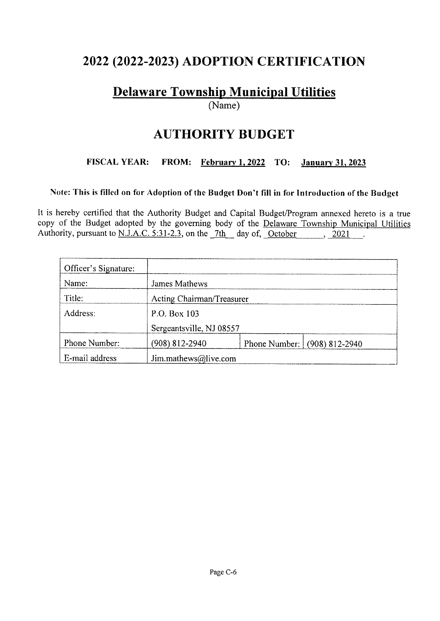## **2022 (2022-2023) ADOPTION CERTIFICATION**

## **Delaware Township Municipal Utilities**

(Name)

## **AUTHORITY BUDGET**

#### FISCAL YEAR: FROM: February I, 2022 TO: January 31, 2023

#### Note: This is filled on for Adoption of the Budget Don't fill in for Introduction of the Budget

It is hereby certified that the Authority Budget and Capital Budget/Program annexed hereto is a true copy of the Budget adopted by the governing body of the Delaware Township Municipal Utilities Authority, pursuant to N.J.A.C. 5:31-2.3, on the  $7th$  day of, October , 2021  $\sim$  .

| Officer's Signature: |                           |  |                              |  |  |  |  |
|----------------------|---------------------------|--|------------------------------|--|--|--|--|
| Name:                | <b>James Mathews</b>      |  |                              |  |  |  |  |
| Title:               | Acting Chairman/Treasurer |  |                              |  |  |  |  |
| Address:             | P.O. Box 103              |  |                              |  |  |  |  |
|                      | Sergeantsville, NJ 08557  |  |                              |  |  |  |  |
| Phone Number:        | $(908)$ 812-2940          |  | Phone Number: (908) 812-2940 |  |  |  |  |
| E-mail address       | Jim.mathews@live.com      |  |                              |  |  |  |  |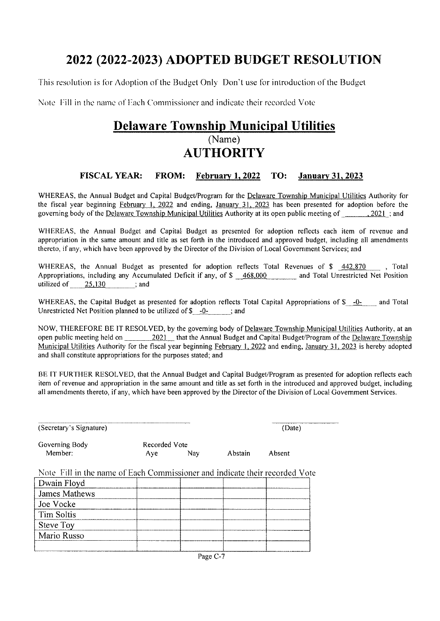## **2022 (2022-2023) ADOPTED BUDGET RESOLUTION**

This resolution is for Adoption of the Budget Only Don't use for introduction of the Budget

Note Fill in the name of Fach Commissioner and indicate their recorded Vote

### **Delaware Township Municipal Utilities**  (Name) **AUTHORITY**

#### **FISCAL YEAR: FROM: February 1, 2022 TO: January 31, 2023**

WHEREAS, the Annual Budget and Capital Budget/Program for the Delaware Township Municipal Utilities Authority for the fiscal year beginning February 1, 2022 and ending, January 31, 2023 has been presented for adoption before the governing body of the Delaware Township Municipal Utilities Authority at its open public meeting of 2021; and

WHEREAS, the Annual Budget and Capital Budget as presented for adoption reflects each item of revenue and appropriation in the same amount and title as set forth in the introduced and approved budget, including all amendments thereto, if any, which have been approved by the Director of the Division of Local Government Services; and

WHEREAS, the Annual Budget as presented for adoption reflects Total Revenues of \$  $\frac{442,870}{42,870}$ , Total Appropriations, including any Accumulated Deficit if any, of \$ 468,000 and Total Unrestricted Net Position utilized of  $25,130$  ; and

WHEREAS, the Capital Budget as presented for adoption reflects Total Capital Appropriations of  $\delta = -0$ . and Total Unrestricted Net Position planned to be utilized of  $\frac{\sqrt{6}}{2}$  -0- ; and

NOW, THEREFORE BE IT RESOLVED, by the governing body of Delaware Township Municipal Utilities Authority, at an open public meeting held on 2021 that the Annual Budget and Capital Budget/Program of the Delaware Township Municipal Utilities Authority for the fiscal year beginning February I, 2022 and ending, January 31, 2023 is hereby adopted and shall constitute appropriations for the purposes stated; and

BE IT FURTHER RESOLVED, that the Annual Budget and Capital Budget/Program as presented for adoption reflects each item of revenue and appropriation in the same amount and title as set forth in the introduced and approved budget, including all amendments thereto, if any, which have been approved by the Director of the Division of Local Government Services.

(Secretary's Signature)

Governing Body Member:

(Date)

Recorded Vote Aye Nay Abstain Absent

Note Fill in the name of Each Commissioner and indicate their recorded Vote

| Dwain Floyd       |  |  |
|-------------------|--|--|
| James Mathews     |  |  |
| Joe Vocke         |  |  |
| <b>Tim Soltis</b> |  |  |
| <b>Steve Toy</b>  |  |  |
| Mario Russo       |  |  |
|                   |  |  |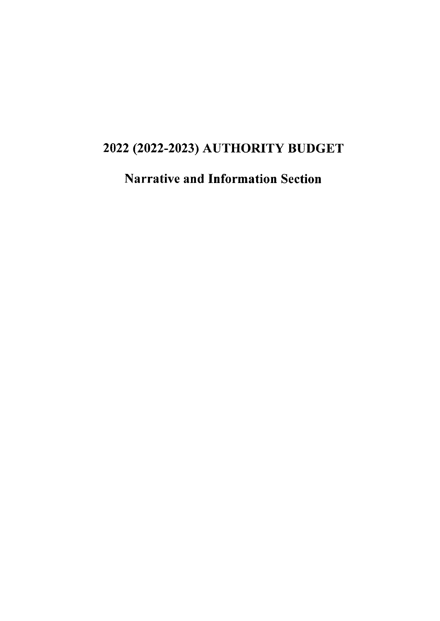## 2022 (2022-2023) AUTHORITY BUDGET

Narrative and Information Section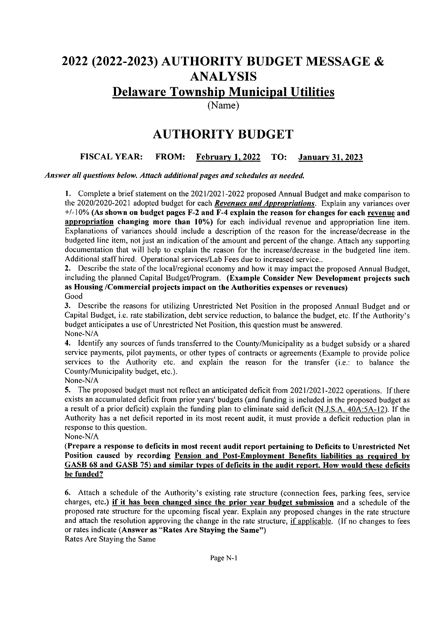## 2022 (2022-2023) AUTHORITY BUDGET MESSAGE & ANALYSIS

## Delaware Township Municipal Utilities

(Name)

## **AUTHORITY BUDGET**

#### **FISCAL YEAR: FROM: February** I, **2022 TO: January 31, 2023**

*Answer all questions below. Attach additional pages and schedules as needed.* 

**1.** Complete a brief statement on the 2021/2021-2022 proposed Annual Budget and make comparison to the 2020/2020-2021 adopted budget for each *Revenues and Appropriations.* Explain any variances over +/-10% **(As shown on budget pages F-2 and F-4 explain the reason for changes for each revenue and appropriation changing more than 10%)** for each individual revenue and appropriation line item. Explanations of variances should include a description of the reason for the increase/decrease in the budgeted line item, not just an indication of the amount and percent of the change. Attach any supporting documentation that will help to explain the reason for the increase/decrease in the budgeted line item. Additional staff hired. Operational services/Lab Fees due to increased service ..

**2.** Describe the state of the local/regional economy and how it may impact the proposed Annual Budget, including the planned Capital Budget/Program. **(Example Consider New Development projects such as Housing /Commercial projects impact on the Authorities expenses or revenues)**  Good

**3.** Describe the reasons for utilizing Unrestricted Net Position in the proposed Annual Budget and or Capital Budget, i.e. rate stabilization, debt service reduction, to balance the budget, etc. If the Authority's budget anticipates a use of Unrestricted Net Position, this question must be answered. None-N/A

**4.** Identify any sources of funds transferred to the County/Municipality as a budget subsidy or a shared service payments, pilot payments, or other types of contracts or agreements (Example to provide police services to the Authority etc. and explain the reason for the transfer (i.e.: to balance the County/Municipality budget, etc.).

None-NIA

5. The proposed budget must not reflect an anticipated deficit from 2021/2021-2022 operations. If there exists an accumulated deficit from prior years' budgets (and funding is included in the proposed budget as a result of a prior deficit) explain the funding plan to eliminate said deficit (N.J.S.A. 40A:5A-12). If the Authority has a net deficit reported in its most recent audit, it must provide a deficit reduction plan in response to this question.

None-N/A

**(Prepare a response to deficits in most recent audit report pertaining to Deficits to Unrestricted Net Position caused by recording Pension and Post-Employment Benefits liabilities as required by GASB 68 and GASB 75) and similar types of deficits in the audit report. How would these deficits be funded?** 

**6.** Attach a schedule of the Authority's existing rate structure (connection fees, parking fees, service charges, etc.) **if it has been changed since the prior year budget submission** and a schedule of the proposed rate structure for the upcoming fiscal year. Explain any proposed changes in the rate structure and attach the resolution approving the change in the rate structure, if applicable. (If no changes to fees or rates indicate **(Answer as "Rates Are Staying the Same")**  Rates Are Staying the Same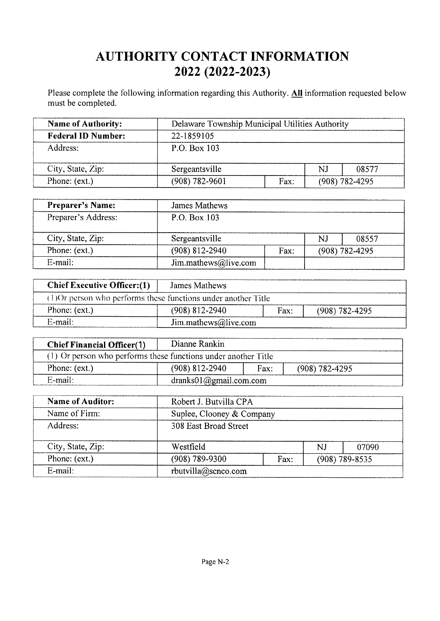## **AUTHORITY CONTACT INFORMATION 2022 (2022-2023)**

Please complete the following information regarding this Authority. **All** information requested below must be completed.

| <b>Name of Authority:</b> | Delaware Township Municipal Utilities Authority |      |                    |       |  |  |
|---------------------------|-------------------------------------------------|------|--------------------|-------|--|--|
| <b>Federal ID Number:</b> | 22-1859105                                      |      |                    |       |  |  |
| Address:                  | P.O. Box 103                                    |      |                    |       |  |  |
| City, State, Zip:         | Sergeantsville                                  |      | NJ                 | 08577 |  |  |
| Phone: (ext.)             | $(908) 782 - 9601$                              | Fax: | $(908) 782 - 4295$ |       |  |  |

| <b>Preparer's Name:</b> | James Mathews        |      |                  |       |
|-------------------------|----------------------|------|------------------|-------|
| Preparer's Address:     | P.O. Box 103         |      |                  |       |
| City, State, Zip:       | Sergeantsville       |      | NJ               | 08557 |
| Phone: (ext.)           | $(908)$ 812-2940     | Fax: | $(908)$ 782-4295 |       |
| $E$ -mail:              | Jim.mathews@live.com |      |                  |       |

| <b>Chief Executive Officer:</b> (1)                            | James Mathews        |      |                  |
|----------------------------------------------------------------|----------------------|------|------------------|
| (1) Or person who performs these functions under another Title |                      |      |                  |
| Phone: (ext.)                                                  | $(908)$ 812-2940     | Fax: | $(908)$ 782-4295 |
| E-mail:                                                        | Jim.mathews@live.com |      |                  |

| <b>Chief Financial Officer(1)</b>                              | Dianne Rankin                        |      |                    |  |  |  |  |  |  |
|----------------------------------------------------------------|--------------------------------------|------|--------------------|--|--|--|--|--|--|
| (1) Or person who performs these functions under another Title |                                      |      |                    |  |  |  |  |  |  |
| Phone: (ext.)                                                  | $(908)$ 812-2940                     | Fax: | $(908) 782 - 4295$ |  |  |  |  |  |  |
| E-mail:                                                        | $dranks01$ ( <i>a</i> )gmail.com.com |      |                    |  |  |  |  |  |  |

| <b>Name of Auditor:</b> | Robert J. Butvilla CPA |                           |                    |       |  |  |  |
|-------------------------|------------------------|---------------------------|--------------------|-------|--|--|--|
| Name of Firm:           |                        | Suplee, Clooney & Company |                    |       |  |  |  |
| Address:                | 308 East Broad Street  |                           |                    |       |  |  |  |
| City, State, Zip:       | Westfield              |                           | N.I                | 07090 |  |  |  |
| Phone: (ext.)           | $(908)$ 789-9300       | Fax:                      | $(908) 789 - 8535$ |       |  |  |  |
| $E$ -mail:              | rbutvilla@scnco.com    |                           |                    |       |  |  |  |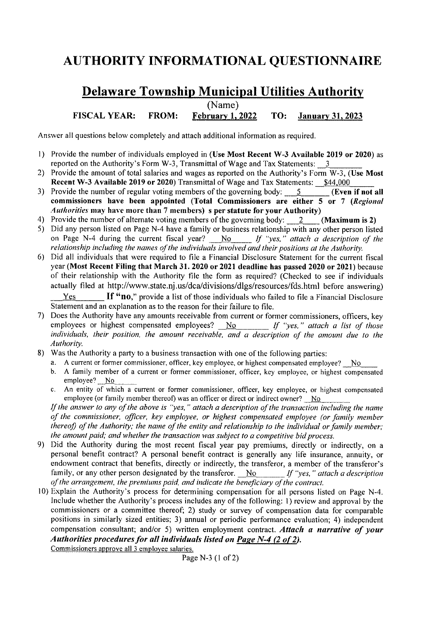## **AUTHORITY INFORMATIONAL QUESTIONNAIRE**

#### **Delaware Township Municipal Utilities Authority FISCAL YEAR: FROM: (Name) February 1, 2022 TO: January 31, 2023**

Answer all questions below completely and attach additional information as required.

- I) Provide the number of individuals employed in **(Use Most Recent W-3 Available 2019 or 2020)** as reported on the Authority's Form W-3, Transmittal of Wage and Tax Statements:  $\overline{3}$
- 2) Provide the amount of total salaries and wages as reported on the Authority's Form W-3, **(Use Most Recent W-3 Available 2019 or 2020**) Transmittal of Wage and Tax Statements: **\$44,000**<br>Provide the number of regular voting members of the governing body: 5 (Even if not all
- 3) Provide the number of regular voting members of the governing body: 5 **commissioners have been appointed (Total Commissioners are either 5 or** 7 *(Regional Authorities* may have more than 7 members) s per statute for your Authority)<br>Provide the number of alternate voting members of the governing body: 2 (Maximum is 2)
- 4) Provide the number of alternate voting members of the governing body: 2
- 5) Did any person listed on Page N-4 have a family or business relationship with any other person listed<br>on Page N-4 during the current fiscal year? No If "yes," attach a description of the on Page N-4 during the current fiscal year? *\_]'!Q \_\_ If 'yes,* " *attach a description of the relationship including the names of the individuals involved and their positions at the Authority.*
- 6) Did all individuals that were required to file a Financial Disclosure Statement for the current fiscal year **(Most Recent Filing that March 31. 2020 or 2021 deadline has passed 2020 or 2021)** because of their relationship with the Authority file the form as required? (Checked to see if individuals actually filed at http://www.state.nj.us/dca/divisions/dlgs/resources/fds.html before answering) Yes **If "no**," provide a list of those individuals who failed to file a Financial Disclosure

Statement and an explanation as to the reason for their failure to file.

- 7) Does the Authority have any amounts receivable from current or former commissioners, officers, key employees or highest compensated employees? No *If "yes," attach a list of those* individuals, their position, the amount receivable, and a description of the amount due to the *Authority.*
- 8) Was the Authority a party to a business transaction with one of the following parties:
	- a. A current or former commissioner, officer, key employee, or highest compensated employee? No
	- b. A family member of a current or former commissioner, officer, key employee, or highest compensated employee? No
	- c. An entity of which a current or former commissioner, officer, key employee, or highest compensated employee (or family member thereof) was an officer or direct or indirect owner?  $\overline{No}$

*If the answer to any of the above is "yes,* " *attach a description of the transaction including the name of the commissioner, officer, key employee, or highest compensated employee (or family member thereof) of the Authority; the name of the entity and relationship to the individual or family member; the amount paid; and whether the transaction was subject to a competitive bid process.* 

- 9) Did the Authority during the most recent fiscal year pay premiums, directly or indirectly, on a personal benefit contract? A personal benefit contract is generally any life insurance, annuity, or endowment contract that benefits, directly or indirectly, the transferor, a member of the transferor's family, or any other person designated by the transferor. No *If "yes," attach a description of the arrangement, the premiums paid, and indicate the beneficiary of the contract.*
- 10) Explain the Authority's process for determining compensation for all persons listed on Page  $N-4$ . Include whether the Authority's process includes any of the following: I) review and approval by the commissioners or a committee thereof; 2) study or survey of compensation data for comparable positions in similarly sized entities; 3) annual or periodic performance evaluation; 4) independent compensation consultant; and/or 5) written employment contract. *Attach a narrative of your*  Authorities procedures for all individuals listed on Page N-4 (2 of 2).

Commissioners approve all 3 employee salaries.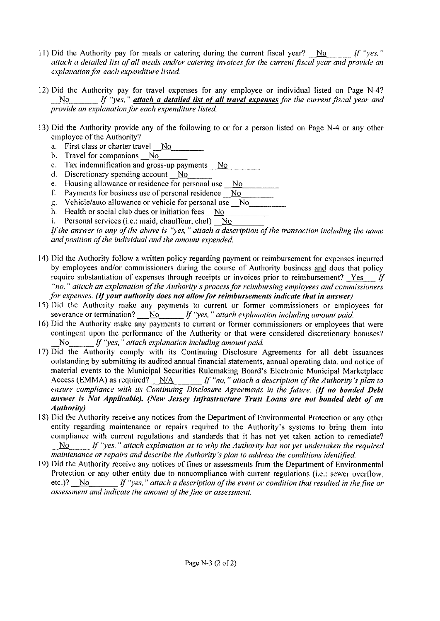- 11) Did the Authority pay for meals or catering during the current fiscal year? No *If "yes,* " *attach a detailed list of all meals and/or catering invoices for the current fiscal year and provide an explanation for each expenditure listed.*
- 12) Did the Authority pay for travel expenses for any employee or individual listed on Page N-4? No *If 'yes,* " *attach a detailed list of all travel expenses for the current fiscal year and provide an explanation for each expenditure listed.*
- 13) Did the Authority provide any of the following to or for a person listed on Page N-4 or any other employee of the Authority?
	- a. First class or charter travel No
	- b. Travel for companions No
	- c. Tax indemnification and gross-up payments  $N<sub>O</sub>$
	- d. Discretionary spending account  $\overline{N}$ .
	- e. Housing allowance or residence for personal use No-
	- f. Payments for business use of personal residence  $\Delta N$ .
	- g. Vehicle/auto allowance or vehicle for personal use  $\sim$  No
	- h. Health or social club dues or initiation fees  $\frac{N_0}{n}$ .
	- i. Personal services (i.e.: maid, chauffeur, chef)  $N_0$ .

*/f the answer to any of the above is "yes, "attach a description of the transaction including the name and position of the individual and the amount expended.* 

- 14) Did the Authority follow a written policy regarding payment or reimbursement for expenses incurred by employees and/or commissioners during the course of Authority business and does that policy require substantiation of expenses through receipts or invoices prior to reimbursement? Yes *If "no,* " *attach an explanation of the Authority's process for reimbursing employees and commissioners for expenses. (If your authority does not allow for reimbursements indicate that in answer)*
- 15) Did the Authority make any payments to current or former commissioners or employees for severance or termination? No *If "yes," attach explanation including amount paid.*
- 16) Did the Authority make any payments to current or former commissioners or employees that were contingent upon the performance of the Authority or that were considered discretionary bonuses? No *If "yes," attach explanation including amount paid.*
- 17) Did the Authority comply with its Continuing Disclosure Agreements for all debt issuances outstanding by submitting its audited annual financial statements, annual operating data, and notice of material events to the Municipal Securities Rulemaking Board's Electronic Municipal Marketplace Access (EMMA) as required? N/A *If "no," attach a description of the Authority's plan to ensure compliance with its Continuing Disclosure Agreements in the future. (If no bonded Debt answer is Not Applicable). (New Jersey Infrastructure Trust Loans are not bonded debt of an Authority)*
- 18) Did the Authority receive any notices from the Department of Environmental Protection or any other entity regarding maintenance or repairs required to the Authority's systems to bring them into compliance with current regulations and standards that it has not yet taken action to remediate? No *If "yes," allach explanation as to why the Authority has not yet undertaken the required maintenance or repairs and describe the Authority's plan to address the conditions identified.*
- 19) Did the Authority receive any notices of fines or assessments from the Department of Environmental Protection or any other entity due to noncompliance with current regulations (i.e.: sewer overflow, etc.)? No *If "yes," allach a description of the event or condition that resulted in the fine or assessment and indicate the amount of the fine or assessment.*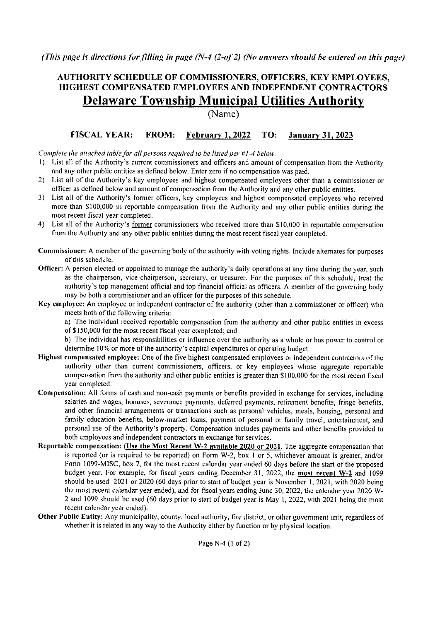*(This page is directions for filling in page (N-4 (2-of 2) (No answers should be entered on this page)* 

#### **AUTHORITY SCHEDULE OF COMMISSIONERS, OFFICERS, KEY EMPLOYEES, HIGHEST COMPENSATED EMPLOYEES AND INDEPENDENT CONTRACTORS Delaware Township Municipal Utilities Authority**

(Name)

#### **FISCAL YEAR: FROM: February** I, **2022 TO: January 31, 2023**

*Complete the attached table for all persons required to be listed per #1-4 below.* 

- I) List all of the Authority's current commissioners and officers and amount of compensation from the Authority and any other public entities as defined below. Enter zero if no compensation was paid.
- 2) List all of the Authority's key employees and highest compensated employees other than a commissioner or officer as defined below and amount of compensation from the Authority and any other public entities.
- 3) List all of the Authority's former officers, key employees and highest compensated employees who received more than \$100,000 in reportable compensation from the Authority and any other public entities during the most recent fiscal year completed.
- 4) List all of the Authority's former commissioners who received more than \$10,000 in reportable compensation from the Authority and any other public entities during the most recent fiscal year completed.
- **Commissioner:** A member of the governing body of the authority with voting rights. Include alternates for purposes of this schedule.
- **Officer:** A person elected or appointed to manage the authority's daily operations at any time during the year, such as the chairperson, vice-chairperson, secretary, or treasurer. For the purposes of this schedule, treat the authority's top management official and top financial official as officers. A member of the governing body may be both a commissioner and an officer for the purposes of this schedule.
- **Key employee:** An employee or independent contractor of the authority (other than a commissioner or officer) who meets both of the following criteria:

a) The individual received reportable compensation from the authority and other public entities in excess of \$150,000 for the most recent fiscal year completed; and

b) The individual has responsibilities or influence over the authority as a whole or has power to control or determine 10% or more of the authority's capital expenditures or operating budget.

- **Highest compensated employee:** One of the five highest compensated employees or independent contractors of the authority other than current commissioners, officers, or key employees whose aggregate reportable compensation from the authority and other public entities is greater than \$100,000 for the most recent fiscal year completed.
- **Compensation:** All forms of cash and non-cash payments or benefits provided in exchange for services, including salaries and wages, bonuses, severance payments, deferred payments, retirement benefits, fringe benefits, and other financial arrangements or transactions such as personal vehicles, meals, housing, personal and family education benefits, below-market loans, payment of personal or family travel, entertainment, and personal use of the Authority's property. Compensation includes payments and other benefits provided to both employees and independent contractors in exchange for services.
- **Reportable compensation: (Use the Most Recent W-2 available 2020 or 2021.** The aggregate compensation that is reported (or is required to be reported) on Form W-2, box I or 5, whichever amount is greater, and/or Form 1099-MISC, box 7, for the most recent calendar year ended 60 days before the start of the proposed budget year. For example, for fiscal years ending December 31, 2022, the **most recent W-2** and 1099 should be used 2021 or 2020 (60 days prior to start of budget year is November I, 2021, with 2020 being the most recent calendar year ended), and for fiscal years ending June 30, 2022, the calendar year 2020 W-2 and 1099 should be used (60 days prior to start of budget year is May 1, 2022, with 2021 being the most recent calendar year ended).
- **Other Public Entity:** Any municipality, county, local authority, fire district, or other government unit, regardless of whether it is related in any way to the Authority either by function or by physical location.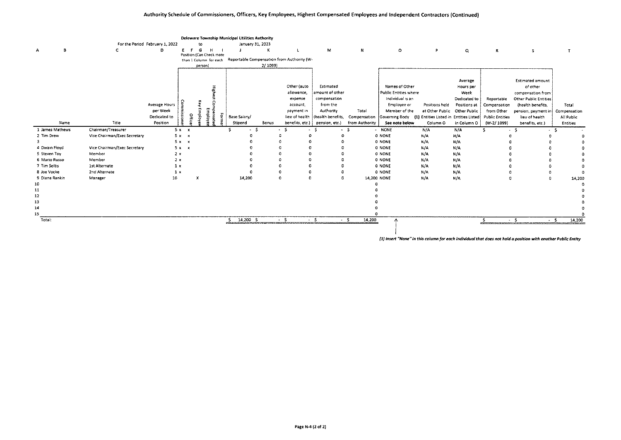|                 |                              |                                 |             |                    |                                                    | Deleware Township Municipal Utilities Authority |                  |                                            |                   |                |                                                                                                                 |                              |              |                        |                         |                 |
|-----------------|------------------------------|---------------------------------|-------------|--------------------|----------------------------------------------------|-------------------------------------------------|------------------|--------------------------------------------|-------------------|----------------|-----------------------------------------------------------------------------------------------------------------|------------------------------|--------------|------------------------|-------------------------|-----------------|
|                 |                              | For the Period February 1, 2022 |             | to                 |                                                    |                                                 | January 31, 2023 |                                            |                   |                |                                                                                                                 |                              |              |                        |                         |                 |
| в<br>А          |                              | D                               | E F         | G                  | H                                                  |                                                 | К                |                                            | M                 | N              | $\circ$                                                                                                         | P                            | Q            | R                      | s                       |                 |
|                 |                              |                                 |             |                    | Position (Can Check more<br>than I Column for each |                                                 |                  | Reportable Compensation from Authority (W- |                   |                |                                                                                                                 |                              |              |                        |                         |                 |
|                 |                              |                                 |             | person)            |                                                    |                                                 | 2/1099)          |                                            |                   |                |                                                                                                                 |                              |              |                        |                         |                 |
|                 |                              |                                 |             |                    |                                                    |                                                 |                  |                                            |                   |                |                                                                                                                 |                              |              |                        |                         |                 |
|                 |                              |                                 |             |                    |                                                    |                                                 |                  |                                            |                   |                |                                                                                                                 |                              |              |                        |                         |                 |
|                 |                              |                                 |             |                    |                                                    |                                                 |                  |                                            |                   |                |                                                                                                                 |                              | Average      |                        | <b>Estimated amount</b> |                 |
|                 |                              |                                 |             |                    |                                                    |                                                 |                  | Other (auto                                | Estimated         |                | Names of Other                                                                                                  |                              | Hours per    |                        | of other                |                 |
|                 |                              |                                 |             |                    |                                                    |                                                 |                  | allowance,                                 | amount of other   |                | Public Entities where                                                                                           |                              | Week         |                        | compensation from       |                 |
|                 |                              |                                 |             |                    |                                                    |                                                 |                  | expense                                    | compensation      |                | Individual is an                                                                                                |                              | Dedicated to | Reportable             | Other Public Entities   |                 |
|                 |                              | <b>Average Hours</b>            |             |                    |                                                    |                                                 |                  | account.                                   | from the          |                | <b>Employee or</b>                                                                                              | Positions held               | Positions at | Compensation           | (health benefits        | Total           |
|                 |                              | per Week                        |             |                    |                                                    |                                                 |                  | payment in                                 | Authority         | Total          | Member of the                                                                                                   | at Other Public Other Public |              | from Other             | pension, payment in     | Compensation    |
|                 |                              | Dedicated to                    |             | $\frac{9}{2}$<br>흫 | 통.                                                 | ğ<br>Base Salary/                               |                  | lieu of health                             | (health benefits, | Compensation   | Governing Body (1) Entities Listed in Entities Listed                                                           |                              |              | <b>Public Entities</b> | lieu of health          | All Public      |
| Name            | Title                        | Position                        |             |                    |                                                    | Stipend                                         | Bonus            | benefits, etc.)                            | pension, etc.)    | from Authority | See note below                                                                                                  | Column O                     | in Column O  | $(W-2/1099)$           | benefits, etc.)         | <b>Entities</b> |
| 1 James Mathews | Chairman/Treasurer           |                                 | $5x - x$    |                    |                                                    |                                                 | -S               | - S                                        | - 5               | - \$           | - NONE                                                                                                          | N/A                          | N/A          |                        |                         |                 |
| 2 Tim Drew      | Vice Chairman/Exec Secretary |                                 | $5x - x$    |                    |                                                    |                                                 |                  |                                            |                   |                | 0 NONE                                                                                                          | N/A                          | N/A          |                        |                         |                 |
|                 |                              |                                 | $5x \times$ |                    |                                                    |                                                 |                  |                                            |                   |                | 0 NONE                                                                                                          | N/A                          | $N/\Lambda$  |                        |                         |                 |
| 4 Dwain Floyd   | Vice Chairman/Exec Secretary |                                 | $5x - x$    |                    |                                                    |                                                 |                  |                                            |                   |                | <b>O NONE</b>                                                                                                   | N/A                          | N/A          |                        |                         |                 |
| 5 Steven Tov    | Member                       | 2x                              |             |                    |                                                    |                                                 |                  |                                            |                   |                | <b>O NONE</b>                                                                                                   | N/A                          | N/A          |                        |                         |                 |
| 6 Mario Russo   | Member                       | 2x                              |             |                    |                                                    |                                                 |                  |                                            |                   |                | 0 NONE                                                                                                          | N/A                          | N/A          |                        |                         |                 |
| 7 Tim Soltis    | 1st Alternate                | 1 x                             |             |                    |                                                    |                                                 |                  |                                            |                   |                | <b>O NONE</b>                                                                                                   | N/A                          | N/A          |                        |                         |                 |
| 8 Joe Vocke     | 2nd Alternate                | ıх                              |             |                    |                                                    |                                                 |                  |                                            |                   |                | <b>O NONE</b>                                                                                                   | N/A                          | N/A          |                        |                         |                 |
| 9 Diane Rankin  | Manager                      | 10                              |             |                    |                                                    | 14,200                                          |                  | $\Omega$                                   |                   |                | 14,200 NONE                                                                                                     | N/A                          | N/A          |                        | D                       | 14,200          |
| 10              |                              |                                 |             |                    |                                                    |                                                 |                  |                                            |                   |                |                                                                                                                 |                              |              |                        |                         |                 |
| 11              |                              |                                 |             |                    |                                                    |                                                 |                  |                                            |                   |                |                                                                                                                 |                              |              |                        |                         |                 |
| 12              |                              |                                 |             |                    |                                                    |                                                 |                  |                                            |                   |                |                                                                                                                 |                              |              |                        |                         |                 |
| 13              |                              |                                 |             |                    |                                                    |                                                 |                  |                                            |                   |                |                                                                                                                 |                              |              |                        |                         |                 |
| 14              |                              |                                 |             |                    |                                                    |                                                 |                  |                                            |                   |                |                                                                                                                 |                              |              |                        |                         |                 |
| 15              |                              |                                 |             |                    |                                                    |                                                 |                  |                                            |                   |                |                                                                                                                 |                              |              |                        |                         |                 |
| Total:          |                              |                                 |             |                    |                                                    | 14,200 \$                                       |                  | $\cdot$ s                                  | $\cdot$ s         | $-5$<br>14,200 |                                                                                                                 |                              |              | \$.                    | $\cdot$ 5               | 14,200<br>$-5$  |
|                 |                              |                                 |             |                    |                                                    |                                                 |                  |                                            |                   |                |                                                                                                                 |                              |              |                        |                         |                 |
|                 |                              |                                 |             |                    |                                                    |                                                 |                  |                                            |                   |                | . [1] insart "Nano" in this calumn for anch individual that does not hold a ansision with another Dublic Entiru |                              |              |                        |                         |                 |

 $(1)$  Insert "None" in this column for each individual that does not hold a position with another Public Entity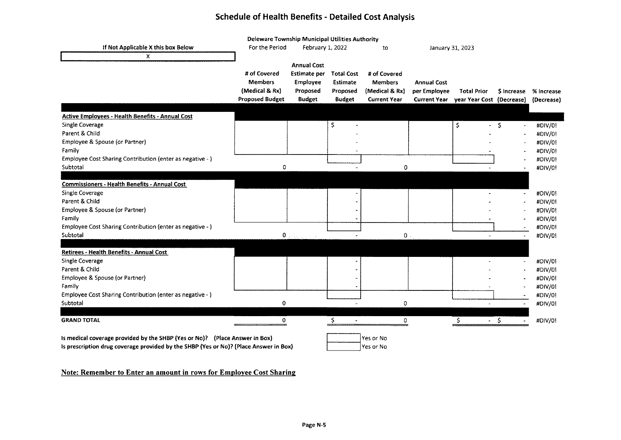#### **Schedule of Health Benefits** - **Detailed Cost Analysis**

|                                                                                       | Deleware Township Municipal Utilities Authority |                                                                                   |                   |                     |                     |                           |                          |            |
|---------------------------------------------------------------------------------------|-------------------------------------------------|-----------------------------------------------------------------------------------|-------------------|---------------------|---------------------|---------------------------|--------------------------|------------|
| If Not Applicable X this box Below                                                    | For the Period                                  | February 1, 2022                                                                  |                   | to                  | January 31, 2023    |                           |                          |            |
| X                                                                                     |                                                 |                                                                                   |                   |                     |                     |                           |                          |            |
|                                                                                       |                                                 | <b>Annual Cost</b>                                                                |                   |                     |                     |                           |                          |            |
|                                                                                       | # of Covered                                    | Estimate per                                                                      | <b>Total Cost</b> | # of Covered        |                     |                           |                          |            |
|                                                                                       | <b>Members</b>                                  | Employee                                                                          | Estimate          | <b>Members</b>      | <b>Annual Cost</b>  |                           |                          |            |
|                                                                                       | (Medical & Rx)                                  | Proposed                                                                          | Proposed          | (Medical & Rx)      | per Employee        | <b>Total Prior</b>        | \$ Increase              | % Increase |
|                                                                                       | <b>Proposed Budget</b>                          | <b>Budget</b>                                                                     | <b>Budget</b>     | <b>Current Year</b> | <b>Current Year</b> | year Year Cost (Decrease) |                          | (Decrease) |
|                                                                                       |                                                 |                                                                                   |                   |                     |                     |                           |                          |            |
| <b>Active Employees - Health Benefits - Annual Cost</b>                               |                                                 |                                                                                   |                   |                     |                     |                           |                          |            |
| Single Coverage                                                                       |                                                 |                                                                                   | \$                |                     |                     | \$.                       | $-5$                     | #DIV/0!    |
| Parent & Child                                                                        |                                                 |                                                                                   |                   |                     |                     |                           |                          | #DIV/0!    |
| Employee & Spouse (or Partner)                                                        |                                                 |                                                                                   |                   |                     |                     |                           |                          | #DIV/0!    |
| Family                                                                                |                                                 |                                                                                   |                   |                     |                     |                           |                          | #DIV/01    |
| Employee Cost Sharing Contribution (enter as negative - )                             |                                                 |                                                                                   |                   |                     |                     |                           |                          | #DIV/0!    |
| Subtotal                                                                              | 0                                               |                                                                                   |                   | 0                   |                     |                           |                          | #DIV/0!    |
|                                                                                       |                                                 |                                                                                   |                   |                     |                     |                           |                          |            |
| <b>Commissioners - Health Benefits - Annual Cost</b>                                  |                                                 |                                                                                   |                   |                     |                     |                           |                          |            |
| Single Coverage                                                                       |                                                 |                                                                                   |                   |                     |                     |                           | $\bullet$                | #DIV/0!    |
| Parent & Child                                                                        |                                                 |                                                                                   |                   |                     |                     |                           |                          | #DIV/0!    |
| Employee & Spouse (or Partner)                                                        |                                                 |                                                                                   |                   |                     |                     |                           |                          | #DIV/0!    |
| Family                                                                                |                                                 |                                                                                   |                   |                     |                     |                           |                          | #DIV/0!    |
| Employee Cost Sharing Contribution (enter as negative - )                             |                                                 |                                                                                   |                   |                     |                     |                           |                          | #DIV/0!    |
| Subtotal                                                                              |                                                 | $\mathbf{0}_{\mathrm{D}}$ , $\mathbf{0}_{\mathrm{D}}$ , $\mathbf{0}_{\mathrm{D}}$ |                   | 0                   |                     | $\sim$                    |                          | #DIV/0!    |
|                                                                                       |                                                 |                                                                                   |                   |                     |                     |                           |                          |            |
| Retirees - Health Benefits - Annual Cost                                              |                                                 |                                                                                   |                   |                     |                     |                           |                          |            |
| Single Coverage                                                                       |                                                 |                                                                                   |                   |                     |                     |                           |                          | #DIV/0!    |
| Parent & Child                                                                        |                                                 |                                                                                   |                   |                     |                     |                           |                          | #DIV/0!    |
| Employee & Spouse (or Partner)                                                        |                                                 |                                                                                   |                   |                     |                     |                           |                          | #DIV/0!    |
| Family                                                                                |                                                 |                                                                                   |                   |                     |                     |                           |                          | #DIV/0!    |
| Employee Cost Sharing Contribution (enter as negative - )                             |                                                 |                                                                                   |                   |                     |                     |                           |                          | #DIV/0!    |
| Subtotal                                                                              | 0                                               |                                                                                   |                   |                     |                     |                           |                          |            |
|                                                                                       |                                                 |                                                                                   |                   | 0                   |                     | $\blacksquare$            | $\bullet$                | #DIV/0!    |
| <b>GRAND TOTAL</b>                                                                    | 0.                                              |                                                                                   | S                 | 0                   |                     | $-5$<br>s                 |                          | #DIV/0!    |
|                                                                                       |                                                 |                                                                                   |                   |                     |                     |                           | $\overline{\phantom{a}}$ |            |
|                                                                                       |                                                 |                                                                                   |                   |                     |                     |                           |                          |            |
| is medical coverage provided by the SHBP (Yes or No)? (Place Answer in Box)           |                                                 |                                                                                   |                   | Yes or No           |                     |                           |                          |            |
| Is prescription drug coverage provided by the SHBP (Yes or No)? (Place Answer in Box) |                                                 |                                                                                   |                   | Yes or No           |                     |                           |                          |            |
|                                                                                       |                                                 |                                                                                   |                   |                     |                     |                           |                          |            |

#### **Note: Remember to Enter an amount in rows for Employee Cost Sharing**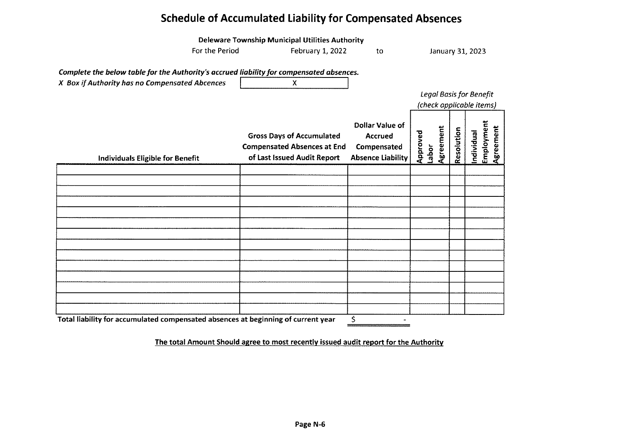## **Schedule of Accumulated Liability for Compensated Absences**

|                                                                                          | Deleware Township Municipal Utilities Authority                                                       |                                                                              |                                |            |            |            |           |
|------------------------------------------------------------------------------------------|-------------------------------------------------------------------------------------------------------|------------------------------------------------------------------------------|--------------------------------|------------|------------|------------|-----------|
| For the Period                                                                           | February 1, 2022                                                                                      | to                                                                           | January 31, 2023               |            |            |            |           |
|                                                                                          |                                                                                                       |                                                                              |                                |            |            |            |           |
| Complete the below table for the Authority's accrued liability for compensated absences. |                                                                                                       |                                                                              |                                |            |            |            |           |
| X Box if Authority has no Compensated Abcences                                           | X                                                                                                     |                                                                              |                                |            |            |            |           |
|                                                                                          |                                                                                                       |                                                                              | <b>Legal Basis for Benefit</b> |            |            |            |           |
|                                                                                          |                                                                                                       |                                                                              | (check applicable items)       |            |            |            |           |
| <b>Individuals Eligible for Benefit</b>                                                  | <b>Gross Days of Accumulated</b><br><b>Compensated Absences at End</b><br>of Last Issued Audit Report | Dollar Value of<br><b>Accrued</b><br>Compensated<br><b>Absence Liability</b> | Agreement<br>Approved<br>Labor | Resolution | Individual | Employment | Agreement |
|                                                                                          |                                                                                                       |                                                                              |                                |            |            |            |           |
|                                                                                          |                                                                                                       |                                                                              |                                |            |            |            |           |
|                                                                                          |                                                                                                       |                                                                              |                                |            |            |            |           |
|                                                                                          |                                                                                                       |                                                                              |                                |            |            |            |           |
|                                                                                          |                                                                                                       |                                                                              |                                |            |            |            |           |
|                                                                                          |                                                                                                       |                                                                              |                                |            |            |            |           |
|                                                                                          |                                                                                                       |                                                                              |                                |            |            |            |           |
|                                                                                          |                                                                                                       |                                                                              |                                |            |            |            |           |
|                                                                                          |                                                                                                       |                                                                              |                                |            |            |            |           |
|                                                                                          |                                                                                                       |                                                                              |                                |            |            |            |           |
|                                                                                          |                                                                                                       |                                                                              |                                |            |            |            |           |
|                                                                                          |                                                                                                       |                                                                              |                                |            |            |            |           |
|                                                                                          |                                                                                                       |                                                                              |                                |            |            |            |           |
|                                                                                          |                                                                                                       |                                                                              |                                |            |            |            |           |
| Total liability for accumulated compensated absences at beginning of current year        |                                                                                                       | \$                                                                           |                                |            |            |            |           |

The total Amount Should agree to most recently issued audit report for the Authority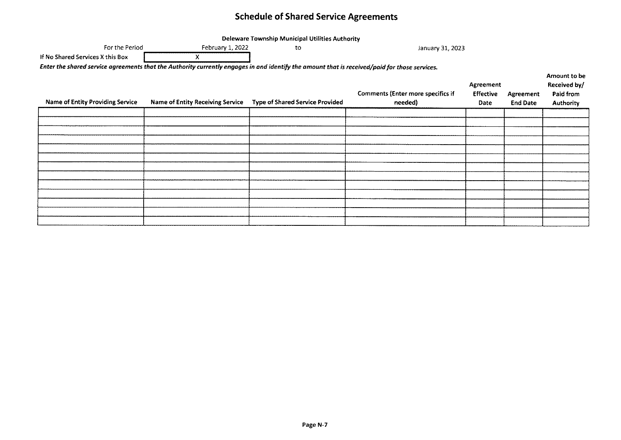## **Schedule of Shared Service Agreements**

|                                                                                                                                               |                                         | Deleware Township Municipal Utilities Authority |                                                     |                                       |                                     |                                                               |
|-----------------------------------------------------------------------------------------------------------------------------------------------|-----------------------------------------|-------------------------------------------------|-----------------------------------------------------|---------------------------------------|-------------------------------------|---------------------------------------------------------------|
| For the Period                                                                                                                                | February 1, 2022                        | to                                              | January 31, 2023                                    |                                       |                                     |                                                               |
| If No Shared Services X this Box                                                                                                              | Х                                       |                                                 |                                                     |                                       |                                     |                                                               |
| Enter the shared service agreements that the Authority currently engages in and identify the amount that is received/paid for those services. |                                         |                                                 |                                                     |                                       |                                     |                                                               |
| <b>Name of Entity Providing Service</b>                                                                                                       | <b>Name of Entity Receiving Service</b> | <b>Type of Shared Service Provided</b>          | <b>Comments (Enter more specifics if</b><br>needed) | Agreement<br><b>Effective</b><br>Date | <b>Agreement</b><br><b>End Date</b> | Amount to be<br>Received by/<br>Paid from<br><b>Authority</b> |
|                                                                                                                                               |                                         |                                                 |                                                     |                                       |                                     |                                                               |
|                                                                                                                                               |                                         |                                                 |                                                     |                                       |                                     |                                                               |
|                                                                                                                                               |                                         |                                                 |                                                     |                                       |                                     |                                                               |
|                                                                                                                                               |                                         |                                                 |                                                     |                                       |                                     |                                                               |
|                                                                                                                                               |                                         |                                                 |                                                     |                                       |                                     |                                                               |
|                                                                                                                                               |                                         |                                                 |                                                     |                                       |                                     |                                                               |
|                                                                                                                                               |                                         |                                                 |                                                     |                                       |                                     |                                                               |
|                                                                                                                                               |                                         |                                                 |                                                     |                                       |                                     |                                                               |
|                                                                                                                                               |                                         |                                                 |                                                     |                                       |                                     |                                                               |
|                                                                                                                                               |                                         |                                                 |                                                     |                                       |                                     |                                                               |
|                                                                                                                                               |                                         |                                                 |                                                     |                                       |                                     |                                                               |
|                                                                                                                                               |                                         |                                                 |                                                     |                                       |                                     |                                                               |
|                                                                                                                                               |                                         |                                                 |                                                     |                                       |                                     |                                                               |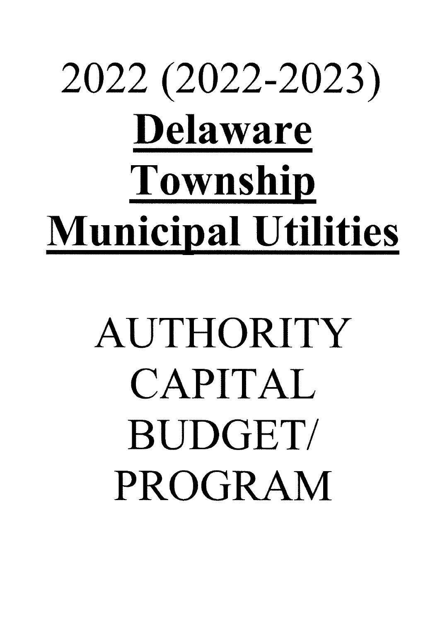# 2022 (2022-2023) **Delaware Township Municipal Utilities**

## AUTHORITY CAPITAL BUDGET/ PROGRAM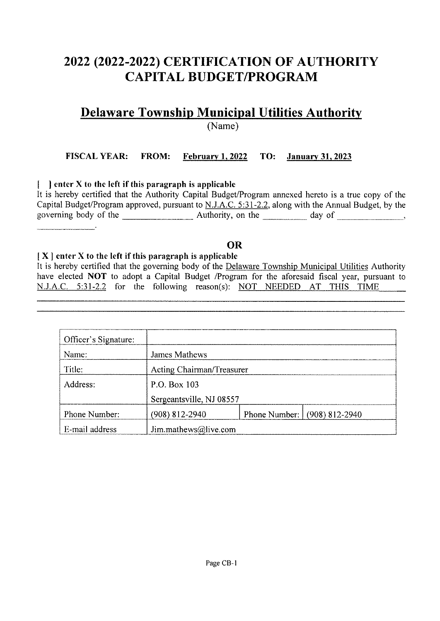## **2022 (2022-2022) CERTIFICATION OF AUTHORITY CAPITAL BUDGET/PROGRAM**

## **Delaware Township Municipal Utilities Authority**

(Name)

#### **FISCAL YEAR: FROM: February** I, **2022 TO: January 31, 2023**

#### I ) **enter X to the left if this paragraph is applicable**

It is hereby certified that the Authority Capital Budget/Program annexed hereto is a true copy of the Capital Budget/Program approved, pursuant to N.J.A.C. 5:31-2.2, along with the Annual Budget, by the governing body of the \_\_\_\_\_\_\_\_\_\_\_\_\_\_\_\_\_\_\_\_ Authority, on the \_\_\_\_\_\_\_\_\_\_\_ day of \_\_\_\_\_\_\_\_\_\_\_\_\_\_,

#### **OR**

#### I **X** ) **enter X to the left if this paragraph is applicable**

It is hereby certified that the governing body of the Delaware Township Municipal Utilities Authority have elected **NOT** to adopt a Capital Budget /Program for the aforesaid fiscal year, pursuant to N.J.A.C. 5:31-2.2 for the following reason(s): NOT NEEDED AT THIS TIME

| Officer's Signature: |                           |                              |
|----------------------|---------------------------|------------------------------|
| Name:                | James Mathews             |                              |
| Title:               | Acting Chairman/Treasurer |                              |
| Address:             | P.O. Box 103              |                              |
|                      | Sergeantsville, NJ 08557  |                              |
| Phone Number:        | (908) 812-2940            | Phone Number: (908) 812-2940 |
| E-mail address       | Jim.mathews@live.com      |                              |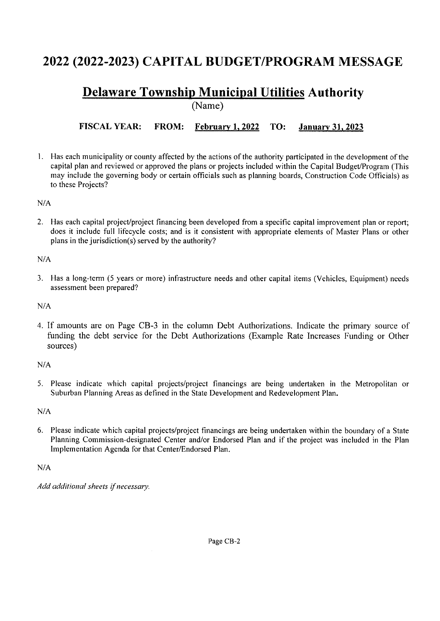## **2022 (2022-2023) CAPITAL BUDGET/PROGRAM MESSAGE**

#### **Delaware Township Municipal Utilities Authority**  (Name)

**FISCAL YEAR: FROM: February 1, 2022 TO: January 31, 2023** 

I. Has each municipality or county affected by the actions of the authority participated in the development of the capital plan and reviewed or approved the plans or projects included within the Capital Budget/Program (This may include the governing body or certain officials such as planning boards, Construction Code Officials) as to these Projects?

*NIA* 

2. Has each capital project/project financing been developed from a specific capital improvement plan or report; does it include full lifecycle costs; and is it consistent with appropriate elements of Master Plans or other plans in the jurisdiction(s) served by the authority?

*NIA* 

3. Has a long-term (5 years or more) infrastructure needs and other capital items (Vehicles, Equipment) needs assessment been prepared?

*NIA* 

4. If amounts are on Page CB-3 in the column Debt Authorizations. Indicate the primary source of funding the debt service for the Debt Authorizations (Example Rate Increases Funding or Other sources)

*NIA* 

5. Please indicate which capital projects/project financings are being undertaken in the Metropolitan or Suburban Planning Areas as defined in the State Development and Redevelopment Plan.

*NIA* 

6. Please indicate which capital projects/project financings are being undertaken within the boundary of a State Planning Commission-designated Center and/or Endorsed Plan and if the project was included in the Plan Implementation Agenda for that Center/Endorsed Plan.

*NIA* 

*Add additional sheets if necessary.* 

Page CB-2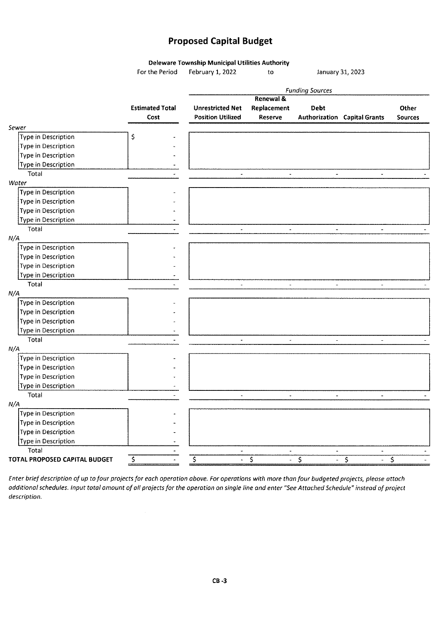#### **Proposed Capital Budget**

**Deleware Township Municipal Utilities Authority** 

For the Period February 1, 2022 to January 31, 2023

|                               |                        |                              |                                                     | <b>Funding Sources</b>                                |                                     |                |
|-------------------------------|------------------------|------------------------------|-----------------------------------------------------|-------------------------------------------------------|-------------------------------------|----------------|
|                               |                        |                              | Renewal &                                           |                                                       |                                     |                |
|                               | <b>Estimated Total</b> | <b>Unrestricted Net</b>      | Replacement                                         | Debt                                                  |                                     | Other          |
|                               | Cost                   | <b>Position Utilized</b>     | Reserve                                             |                                                       | <b>Authorization Capital Grants</b> | <b>Sources</b> |
| Sewer                         |                        |                              |                                                     |                                                       |                                     |                |
| Type in Description           | \$                     |                              |                                                     |                                                       |                                     |                |
| Type in Description           |                        |                              |                                                     |                                                       |                                     |                |
| Type in Description           |                        |                              |                                                     |                                                       |                                     |                |
| Type in Description           |                        |                              |                                                     |                                                       |                                     |                |
| Total                         |                        | $\blacksquare$               | $\blacksquare$                                      | $\blacksquare$                                        | $\overline{\phantom{a}}$            |                |
| Water                         |                        |                              |                                                     |                                                       |                                     |                |
| Type in Description           |                        |                              |                                                     |                                                       |                                     |                |
| Type in Description           |                        |                              |                                                     |                                                       |                                     |                |
| Type in Description           |                        |                              |                                                     |                                                       |                                     |                |
| Type in Description           |                        |                              |                                                     |                                                       |                                     |                |
| Total                         |                        | $\ddot{\phantom{a}}$         | $\sim$                                              | $\sim$                                                | $\blacksquare$                      |                |
| N/A                           |                        |                              |                                                     |                                                       |                                     |                |
| Type in Description           |                        |                              |                                                     |                                                       |                                     |                |
| Type in Description           |                        |                              |                                                     |                                                       |                                     |                |
| Type in Description           |                        |                              |                                                     |                                                       |                                     |                |
| Type in Description           |                        |                              |                                                     |                                                       |                                     |                |
| Total                         |                        |                              | $\overline{a}$                                      | $\overline{a}$                                        |                                     |                |
| N/A                           |                        |                              |                                                     |                                                       |                                     |                |
| Type in Description           |                        |                              |                                                     |                                                       |                                     |                |
| Type in Description           |                        |                              |                                                     |                                                       |                                     |                |
| Type in Description           |                        |                              |                                                     |                                                       |                                     |                |
| Type in Description           |                        |                              |                                                     |                                                       |                                     |                |
| Total                         |                        | $\overline{\phantom{a}}$     | $\omega$                                            | $\overline{\phantom{a}}$                              | $\blacksquare$                      |                |
| N/A                           |                        |                              |                                                     |                                                       |                                     |                |
| Type in Description           |                        |                              |                                                     |                                                       |                                     |                |
| Type in Description           |                        |                              |                                                     |                                                       |                                     |                |
| Type in Description           |                        |                              |                                                     |                                                       |                                     |                |
| Type in Description           |                        |                              |                                                     |                                                       |                                     |                |
| Total                         |                        | $\tilde{\phantom{a}}$        | $\overline{\phantom{a}}$                            | $\blacksquare$                                        | $\overline{\phantom{a}}$            |                |
| N/A                           |                        |                              |                                                     |                                                       |                                     |                |
| Type in Description           |                        |                              |                                                     |                                                       |                                     |                |
| Type in Description           |                        |                              |                                                     |                                                       |                                     |                |
|                               |                        |                              |                                                     |                                                       |                                     |                |
| Type in Description           |                        |                              |                                                     |                                                       |                                     |                |
| Type in Description           |                        |                              |                                                     |                                                       |                                     |                |
| Total                         |                        | $\blacksquare$               | $\blacksquare$                                      | $\hat{\phantom{a}}$                                   | $\blacksquare$                      |                |
| TOTAL PROPOSED CAPITAL BUDGET | \$                     | $\overline{\varsigma}$<br>÷. | $\overline{\boldsymbol{\varsigma}}$<br>$\mathbf{r}$ | $\overline{\boldsymbol{\varsigma}}$<br>$\blacksquare$ | $\overline{\varsigma}$              | $\varsigma$    |

Enter brief description of up to four projects for each operation above. For operations with more than four budgeted projects, please attach additional schedules. Input total amount of all projects for the operation on single line and enter "See Attached Schedule" instead of project description.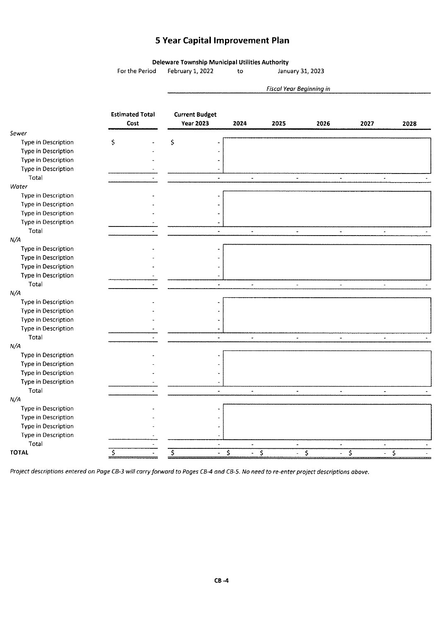#### **5 Year Capital Improvement Plan**

**Deleware Township Municipal Utilities Authority**  For the Period February 1, 2022 to January 31, 2023

|                     |                                |                                           |                                  | Fiscal Year Beginning in |                                          |                                  |                         |
|---------------------|--------------------------------|-------------------------------------------|----------------------------------|--------------------------|------------------------------------------|----------------------------------|-------------------------|
|                     | <b>Estimated Total</b><br>Cost | <b>Current Budget</b><br><b>Year 2023</b> | 2024                             | 2025                     | 2026                                     | 2027                             | 2028                    |
| Sewer               |                                |                                           |                                  |                          |                                          |                                  |                         |
| Type in Description | \$                             | \$                                        |                                  |                          |                                          |                                  |                         |
| Type in Description |                                |                                           |                                  |                          |                                          |                                  |                         |
| Type in Description |                                |                                           |                                  |                          |                                          |                                  |                         |
| Type in Description |                                |                                           |                                  |                          |                                          |                                  |                         |
| Total               |                                |                                           | $\overline{a}$                   | $\overline{\phantom{a}}$ | $\overline{\phantom{a}}$                 | $\overline{\phantom{a}}$         |                         |
| Water               |                                |                                           |                                  |                          |                                          |                                  |                         |
| Type in Description |                                |                                           |                                  |                          |                                          |                                  |                         |
| Type in Description |                                |                                           |                                  |                          |                                          |                                  |                         |
| Type in Description |                                |                                           |                                  |                          |                                          |                                  |                         |
| Type in Description |                                |                                           |                                  |                          |                                          |                                  |                         |
| Total               |                                | $\overline{\phantom{0}}$                  | $\star$                          | $\sim$                   | $\overline{\phantom{a}}$                 | $\overline{\phantom{a}}$         |                         |
| N/A                 |                                |                                           |                                  |                          |                                          |                                  |                         |
| Type in Description |                                |                                           |                                  |                          |                                          |                                  |                         |
| Type in Description |                                |                                           |                                  |                          |                                          |                                  |                         |
| Type in Description |                                |                                           |                                  |                          |                                          |                                  |                         |
| Type in Description |                                |                                           |                                  |                          |                                          |                                  |                         |
| Total               |                                | $\bullet$                                 | ¥,                               | $\overline{\phantom{a}}$ | $\overline{\phantom{a}}$                 | $\blacksquare$                   |                         |
| N/A                 |                                |                                           |                                  |                          |                                          |                                  |                         |
| Type in Description |                                |                                           |                                  |                          |                                          |                                  |                         |
| Type in Description |                                |                                           |                                  |                          |                                          |                                  |                         |
| Type in Description |                                |                                           |                                  |                          |                                          |                                  |                         |
| Type in Description |                                |                                           |                                  |                          |                                          |                                  |                         |
| Total               |                                |                                           | ä,                               |                          | $\overline{a}$                           | $\overline{a}$                   |                         |
| N/A                 |                                |                                           |                                  |                          |                                          |                                  |                         |
| Type in Description |                                |                                           |                                  |                          |                                          |                                  |                         |
| Type in Description |                                |                                           |                                  |                          |                                          |                                  |                         |
| Type in Description |                                |                                           |                                  |                          |                                          |                                  |                         |
| Type in Description |                                |                                           |                                  |                          |                                          |                                  |                         |
| Total               |                                | $\overline{\phantom{a}}$                  | $\omega$                         | $\overline{\phantom{a}}$ | $\bullet$                                | $\omega$                         |                         |
| N/A                 |                                |                                           |                                  |                          |                                          |                                  |                         |
| Type in Description |                                |                                           |                                  |                          |                                          |                                  |                         |
| Type in Description |                                |                                           |                                  |                          |                                          |                                  |                         |
| Type in Description |                                |                                           |                                  |                          |                                          |                                  |                         |
| Type in Description |                                |                                           |                                  |                          |                                          |                                  |                         |
| Total               |                                | $\tilde{\phantom{a}}$                     | $\overline{\phantom{a}}$         | $\blacksquare$           | $\overline{\phantom{a}}$                 | $\scriptstyle\star$              |                         |
| <b>TOTAL</b>        | \$                             | \$<br>$\blacksquare$                      | $\overline{\varsigma}$<br>$\sim$ | Ţ<br>$\sim$              | $\overline{\varsigma}$<br>$\blacksquare$ | $\overline{\varsigma}$<br>$\sim$ | $\overline{\mathsf{S}}$ |

Project descriptions entered on Page CB-3 will carry forward to Pages CB-4 and CB-5. No need to re-enter project descriptions above.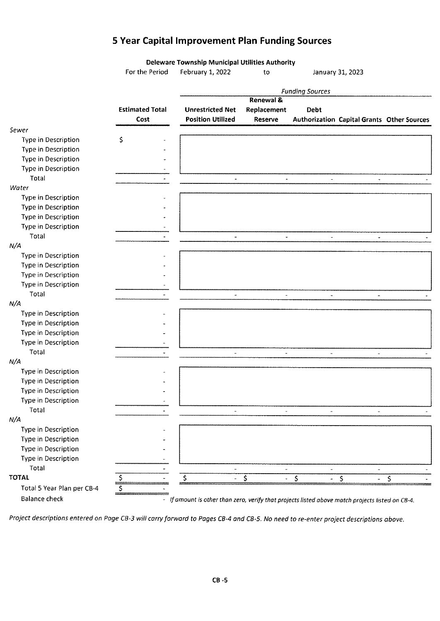## **5 Year Capital Improvement Plan Funding Sources**

|                            |                        | Deleware Township Municipal Utilities Authority                                                  |                       |                          |                                            |    |
|----------------------------|------------------------|--------------------------------------------------------------------------------------------------|-----------------------|--------------------------|--------------------------------------------|----|
|                            | For the Period         | February 1, 2022                                                                                 | to                    |                          | January 31, 2023                           |    |
|                            |                        |                                                                                                  |                       | <b>Funding Sources</b>   |                                            |    |
|                            |                        |                                                                                                  | <b>Renewal &amp;</b>  |                          |                                            |    |
|                            | <b>Estimated Total</b> | <b>Unrestricted Net</b>                                                                          | Replacement           | Debt                     |                                            |    |
|                            | Cost                   | <b>Position Utilized</b>                                                                         | Reserve               |                          | Authorization Capital Grants Other Sources |    |
| Sewer                      |                        |                                                                                                  |                       |                          |                                            |    |
| Type in Description        | \$                     |                                                                                                  |                       |                          |                                            |    |
| Type in Description        |                        |                                                                                                  |                       |                          |                                            |    |
| Type in Description        |                        |                                                                                                  |                       |                          |                                            |    |
| <b>Type in Description</b> |                        |                                                                                                  |                       |                          |                                            |    |
| Total                      |                        | $\tilde{\phantom{a}}$                                                                            | $\tilde{\phantom{a}}$ | $\blacksquare$           | $\omega$                                   |    |
| Water                      |                        |                                                                                                  |                       |                          |                                            |    |
| Type in Description        |                        |                                                                                                  |                       |                          |                                            |    |
| Type in Description        |                        |                                                                                                  |                       |                          |                                            |    |
| Type in Description        |                        |                                                                                                  |                       |                          |                                            |    |
| Type in Description        |                        |                                                                                                  |                       |                          |                                            |    |
| Total                      |                        | $\sim$                                                                                           | $\omega$              | $\mathbf{r}$             | $\tilde{\phantom{a}}$                      |    |
| N/A                        |                        |                                                                                                  |                       |                          |                                            |    |
| Type in Description        |                        |                                                                                                  |                       |                          |                                            |    |
| Type in Description        |                        |                                                                                                  |                       |                          |                                            |    |
| Type in Description        |                        |                                                                                                  |                       |                          |                                            |    |
| Type in Description        |                        |                                                                                                  |                       |                          |                                            |    |
| Total                      |                        |                                                                                                  | $\blacksquare$        |                          |                                            |    |
| N/A                        |                        |                                                                                                  |                       |                          | $\bar{a}$                                  |    |
| Type in Description        |                        |                                                                                                  |                       |                          |                                            |    |
| <b>Type in Description</b> |                        |                                                                                                  |                       |                          |                                            |    |
|                            |                        |                                                                                                  |                       |                          |                                            |    |
| Type in Description        |                        |                                                                                                  |                       |                          |                                            |    |
| Type in Description        |                        |                                                                                                  |                       |                          |                                            |    |
| Total                      |                        |                                                                                                  |                       | $\overline{\phantom{a}}$ | $\overline{\phantom{a}}$                   |    |
| N/A                        |                        |                                                                                                  |                       |                          |                                            |    |
| Type in Description        |                        |                                                                                                  |                       |                          |                                            |    |
| Type in Description        |                        |                                                                                                  |                       |                          |                                            |    |
| Type in Description        |                        |                                                                                                  |                       |                          |                                            |    |
| Type in Description        |                        |                                                                                                  |                       |                          |                                            |    |
| Total                      |                        | $\blacksquare$                                                                                   | $\omega$              | $\blacksquare$           | $\overline{\phantom{a}}$                   |    |
| N/A                        |                        |                                                                                                  |                       |                          |                                            |    |
| Type in Description        |                        |                                                                                                  |                       |                          |                                            |    |
| Type in Description        |                        |                                                                                                  |                       |                          |                                            |    |
| Type in Description        |                        |                                                                                                  |                       |                          |                                            |    |
| Type in Description        |                        |                                                                                                  |                       |                          |                                            |    |
| Total                      |                        |                                                                                                  |                       |                          | $\blacksquare$                             |    |
| <b>TOTAL</b>               | \$,                    | \$                                                                                               | \$                    | \$                       | \$                                         | \$ |
| Total 5 Year Plan per CB-4 | $\zeta$                |                                                                                                  |                       |                          |                                            |    |
| <b>Balance check</b>       |                        | - If amount is other than zero, verify that projects listed above match projects listed on CB-4. |                       |                          |                                            |    |

Project descriptions entered on Poge CB-3 will carry forward to Pages CB-4 ond CB-5. No need to re-enter project descriptions above.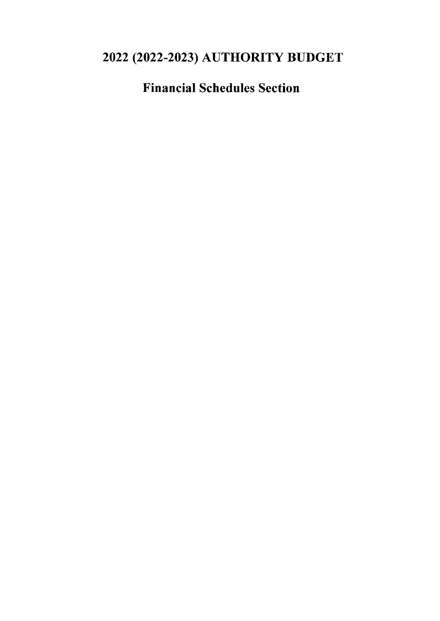## 2022 (2022-2023) AUTHORITY BUDGET

Financial Schedules Section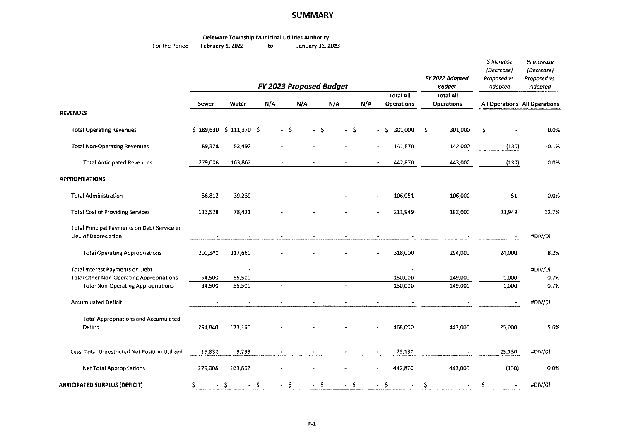#### **SUMMARY**

## Deleware Township Municipal Utilities Authority<br>February 1, 2022 to January 31, 2023

For the Period **February 1, 2022** 

|                                                                                              |                  |                         |            |      |          |      |                |                                       | FY 2022 Adopted                       | $$$ Increase<br>(Decrease)<br>Proposed vs. | % increase<br>(Decrease)<br>Proposed vs. |
|----------------------------------------------------------------------------------------------|------------------|-------------------------|------------|------|----------|------|----------------|---------------------------------------|---------------------------------------|--------------------------------------------|------------------------------------------|
|                                                                                              |                  | FY 2023 Proposed Budget |            |      |          |      | <b>Budget</b>  | Adopted                               | Adopted                               |                                            |                                          |
|                                                                                              | Sewer            | Water                   | N/A        | N/A  | N/A      |      | N/A            | <b>Total All</b><br><b>Operations</b> | <b>Total All</b><br><b>Operations</b> | All Operations All Operations              |                                          |
| <b>REVENUES</b>                                                                              |                  |                         |            |      |          |      |                |                                       |                                       |                                            |                                          |
| <b>Total Operating Revenues</b>                                                              |                  | \$189,630 \$111,370 \$  | $-5$       | $-5$ |          | $-5$ | $\blacksquare$ | 301,000<br>S.                         | 301,000<br>\$                         | \$                                         | 0.0%                                     |
| <b>Total Non-Operating Revenues</b>                                                          | 89,378           | 52,492                  |            |      |          |      |                | 141,870                               | 142,000                               | (130)                                      | $-0.1%$                                  |
| <b>Total Anticipated Revenues</b>                                                            | 279,008          | 163,862                 |            |      |          |      | $\bullet$      | 442,870                               | 443,000                               | (130)                                      | 0.0%                                     |
| <b>APPROPRIATIONS</b>                                                                        |                  |                         |            |      |          |      |                |                                       |                                       |                                            |                                          |
| <b>Total Administration</b>                                                                  | 66,812           | 39,239                  |            |      |          |      |                | 106,051                               | 106,000                               | 51                                         | 0.0%                                     |
| <b>Total Cost of Providing Services</b>                                                      | 133,528          | 78,421                  |            |      |          |      |                | 211,949                               | 188,000                               | 23.949                                     | 12.7%                                    |
| Total Principal Payments on Debt Service in<br>Lieu of Depreciation                          |                  | $\bullet$               |            |      |          |      |                |                                       |                                       |                                            | #DIV/0!                                  |
| <b>Total Operating Appropriations</b>                                                        | 200,340          | 117,660                 |            |      |          |      |                | 318,000                               | 294,000                               | 24,000                                     | 8.2%                                     |
| Total Interest Payments on Debt                                                              | $\blacksquare$   |                         |            |      |          |      |                |                                       |                                       |                                            | #DIV/0!                                  |
| <b>Total Other Non-Operating Appropriations</b><br><b>Total Non-Operating Appropriations</b> | 94,500<br>94,500 | 55,500<br>55,500        | $\bullet$  |      |          |      | $\bullet$      | 150,000<br>150,000                    | 149,000<br>149,000                    | 1,000<br>1,000                             | 0.7%<br>0.7%                             |
| <b>Accumulated Deficit</b>                                                                   |                  | $\sim$                  |            |      |          |      |                |                                       |                                       |                                            | #DIV/0!                                  |
| <b>Total Appropriations and Accumulated</b><br>Deficit                                       | 294,840          | 173,160                 |            |      |          |      |                | 468,000                               | 443,000                               | 25,000                                     | 5.6%                                     |
| Less: Total Unrestricted Net Position Utilized                                               | 15,832           | 9,298                   |            |      |          |      |                | 25,130                                |                                       | 25,130                                     | #DIV/0!                                  |
| <b>Net Total Appropriations</b>                                                              | 279,008          | 163,862                 |            |      |          |      |                | 442,870                               | 443,000                               | (130)                                      | 0.0%                                     |
| <b>ANTICIPATED SURPLUS (DEFICIT)</b>                                                         | Ś.               | $-5$<br>$\sim$          | - \$<br>-S | - \$ | $\omega$ | - \$ | $\omega$ .     | -S                                    | S                                     | Ŝ                                          | #DIV/0!                                  |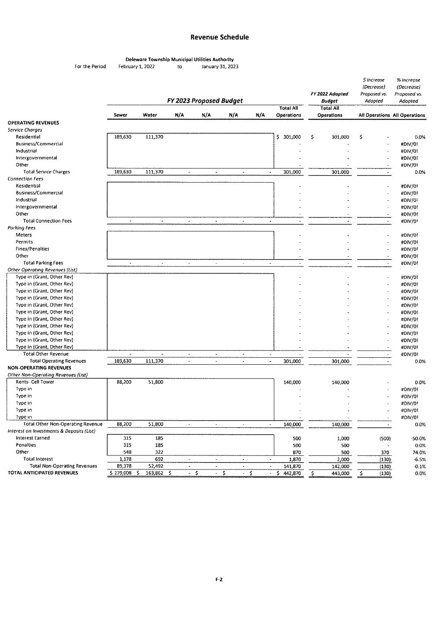#### **Revenue Schedule**

|                |                  |    | Deleware Township Municipal Utilities Authority |
|----------------|------------------|----|-------------------------------------------------|
| For the Period | February 1, 2022 | tο | January 31, 2023                                |

|                                           |                      |            | FY 2023 Proposed Budget |                      |      |                | <b>Total All</b>                         | FY 2022 Adopted<br>Budget             |         | \$ Increase<br>(Decrease)<br>Proposed vs.<br>Adopted |                | % Increase<br>(Decrease)<br>Proposed vs.<br>Adopted |
|-------------------------------------------|----------------------|------------|-------------------------|----------------------|------|----------------|------------------------------------------|---------------------------------------|---------|------------------------------------------------------|----------------|-----------------------------------------------------|
|                                           | Sewer                | Water      | N/A                     | N/A                  | N/A  | N/A            | <b>Operations</b>                        | <b>Total All</b><br><b>Operations</b> |         |                                                      |                | All Operations All Operations                       |
| <b>OPERATING REVENUES</b>                 |                      |            |                         |                      |      |                |                                          |                                       |         |                                                      |                |                                                     |
| Service Charges                           |                      |            |                         |                      |      |                |                                          |                                       |         |                                                      |                |                                                     |
| Residential                               | 189,630              | 111,370    |                         |                      |      |                | \$ 301,000                               | s                                     | 301,000 | \$                                                   |                | 0.0%                                                |
| <b>Business/Commercial</b>                |                      |            |                         |                      |      |                |                                          |                                       |         |                                                      |                | #DIV/0!                                             |
| Industrial                                |                      |            |                         |                      |      |                |                                          |                                       |         |                                                      |                | #DIV/0!                                             |
| Intergovernmental                         |                      |            |                         |                      |      |                |                                          |                                       |         |                                                      |                | #DIV/0!                                             |
| Other                                     |                      |            |                         |                      |      |                |                                          |                                       |         |                                                      |                | #DIV/0!                                             |
| <b>Total Service Charges</b>              | 189,630              | 111,370    | $\blacksquare$          | $\blacksquare$       |      | $\blacksquare$ | 301,000<br>$\blacksquare$                |                                       | 301,000 |                                                      |                | 0.0%                                                |
| <b>Connection Fees</b>                    |                      |            |                         |                      |      |                |                                          |                                       |         |                                                      |                |                                                     |
| Residential                               |                      |            |                         |                      |      |                |                                          |                                       |         |                                                      |                | #DIV/0!                                             |
| Business/Commercial                       |                      |            |                         |                      |      |                |                                          |                                       |         |                                                      |                | #DIV/0!                                             |
| Industrial                                |                      |            |                         |                      |      |                |                                          |                                       |         |                                                      |                | #DIV/0!                                             |
| intergovernmental                         |                      |            |                         |                      |      |                |                                          |                                       |         |                                                      |                | #DIV/0!                                             |
| Other                                     |                      |            |                         |                      |      |                |                                          |                                       |         |                                                      |                | #DIV/0!                                             |
| <b>Total Connection Fees</b>              | $\ddot{\phantom{0}}$ | $\omega$   | $\omega$                | $\ddot{\phantom{a}}$ |      | $\omega$       | $\bullet$<br>$\tilde{\phantom{a}}$       |                                       |         |                                                      |                | #DIV/0!                                             |
| <b>Parking Fees</b>                       |                      |            |                         |                      |      |                |                                          |                                       |         |                                                      |                |                                                     |
| <b>Meters</b>                             |                      |            |                         |                      |      |                |                                          |                                       |         |                                                      |                | #DIV/0!                                             |
| Permits                                   |                      |            |                         |                      |      |                |                                          |                                       |         |                                                      |                | #DIV/0!                                             |
| Fines/Penalties                           |                      |            |                         |                      |      |                |                                          |                                       |         |                                                      |                | #DIV/0!                                             |
| Other                                     |                      |            |                         |                      |      |                |                                          |                                       |         |                                                      |                | #DIV/0!                                             |
| <b>Total Parking Fees</b>                 | $\ddot{\phantom{a}}$ | $\star$    | $\sim$                  | $\bar{\phantom{a}}$  |      | $\sigma$       | $\mathcal{L}_{\mathcal{A}}$<br>$\bullet$ |                                       |         |                                                      | $\sim$         | #DIV/0!                                             |
| Other Operating Revenues (List)           |                      |            |                         |                      |      |                |                                          |                                       |         |                                                      |                |                                                     |
| Type in (Grant, Other Rev)                |                      |            |                         |                      |      |                |                                          |                                       |         |                                                      |                | #DIV/0!                                             |
| Type in (Grant, Other Rev)                |                      |            |                         |                      |      |                |                                          |                                       |         |                                                      |                | #DIV/0!                                             |
| Type in (Grant, Other Rev)                |                      |            |                         |                      |      |                |                                          |                                       |         |                                                      |                | #DIV/0!                                             |
| Type in (Grant, Other Rev)                |                      |            |                         |                      |      |                |                                          |                                       |         |                                                      |                | #DIV/0!                                             |
| Type in (Grant, Other Rev)                |                      |            |                         |                      |      |                |                                          |                                       |         |                                                      |                | #DIV/0!                                             |
| Type in (Grant, Other Rev)                |                      |            |                         |                      |      |                |                                          |                                       |         |                                                      |                | #DIV/0!                                             |
| Type in (Grant, Other Rev)                |                      |            |                         |                      |      |                |                                          |                                       |         |                                                      |                | #DIV/0!                                             |
| Type in (Grant, Other Rev)                |                      |            |                         |                      |      |                |                                          |                                       |         |                                                      |                | #DIV/0!                                             |
| Type in (Grant, Other Rev)                |                      |            |                         |                      |      |                |                                          |                                       |         |                                                      |                | #DIV/0!                                             |
| Type in (Grant, Other Rev)                |                      |            |                         |                      |      |                |                                          |                                       |         |                                                      |                | #DIV/0!                                             |
| Type in (Grant, Other Rev)                |                      |            |                         |                      |      |                |                                          |                                       |         |                                                      |                | #DIV/0!                                             |
| <b>Total Other Revenue</b>                |                      |            | $\tilde{\phantom{a}}$   | $\blacksquare$       |      | $\omega$       | $\blacksquare$                           |                                       |         |                                                      | $\blacksquare$ | #DIV/0!                                             |
| <b>Total Operating Revenues</b>           | 189.630              | 111,370    | $\star$                 | ÷,                   |      | $\blacksquare$ | 301,000<br>$\blacksquare$                |                                       | 301,000 |                                                      | ٠              | 0.0%                                                |
| <b>NON-OPERATING REVENUES</b>             |                      |            |                         |                      |      |                |                                          |                                       |         |                                                      |                |                                                     |
| Other Non-Operatina Revenues (List)       |                      |            |                         |                      |      |                |                                          |                                       |         |                                                      |                |                                                     |
| Rents- Cell Tower                         | 88,200               | 51,800     |                         |                      |      |                | 140,000                                  |                                       | 140,000 |                                                      |                | 0.0%                                                |
| Type in                                   |                      |            |                         |                      |      |                |                                          |                                       |         |                                                      |                | #DIV/0!                                             |
| Type in                                   |                      |            |                         |                      |      |                |                                          |                                       |         |                                                      |                | #DIV/0!                                             |
| Type in                                   |                      |            |                         |                      |      |                |                                          |                                       |         |                                                      |                | #DIV/0!                                             |
| Type in                                   |                      |            |                         |                      |      |                |                                          |                                       |         |                                                      |                | #DIV/0!                                             |
| Type in                                   |                      |            |                         |                      |      |                |                                          |                                       |         |                                                      |                | #DIV/0!                                             |
| <b>Total Other Non-Operating Revenue</b>  | 88,200               | 51,800     | $\mathbf{v}$            | $\bullet$            |      | $\bullet$      | 140,000<br>$\omega$                      |                                       | 140,000 |                                                      |                | 0.0%                                                |
| Interest on Investments & Deposits (List) |                      |            |                         |                      |      |                |                                          |                                       |         |                                                      |                |                                                     |
| Interest Earned                           | 315                  | 185        |                         |                      |      |                | 500                                      |                                       | 1,000   |                                                      | (500)          | -50.0%                                              |
| Penalties                                 | 315                  | 185        |                         |                      |      |                | 500                                      |                                       | 500     |                                                      |                | 0.0%                                                |
| Other                                     | 548                  | 322        |                         |                      |      |                | 870                                      |                                       | 500     |                                                      | 370            | 74.0%                                               |
| Total Interest                            | 1,178                | 692        | $\omega$                | $\sim$               |      | $\bullet$      | 1,870<br>$\sim$                          |                                       | 2,000   |                                                      | (130)          | $-6.5%$                                             |
| <b>Total Non-Operating Revenues</b>       | 89,378               | 52,492     | $\omega$                | $\blacksquare$       |      | $\blacksquare$ | 141,870<br>$\omega$                      |                                       | 142,000 |                                                      | (130)          | $-0.1%$                                             |
| TOTAL ANTICIPATED REVENUES                | \$279,008\$          | 163,862 \$ | $-5$                    |                      | $-5$ | $-5$           | S.<br>442,870<br>$\sim$                  | -\$                                   | 443,000 | -\$                                                  | (130)          | 0.0%                                                |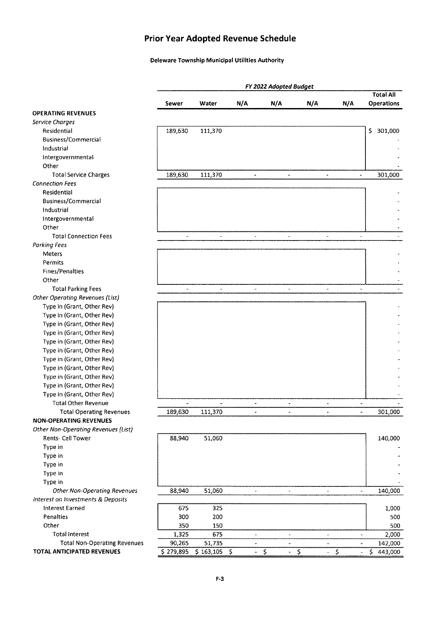### **Prior Year Adopted Revenue Schedule**

#### Deleware Township Municipal Utilities Authority

|                                        |                          |                |                          | FY 2022 Adopted Budget                |                          |                          |                         |
|----------------------------------------|--------------------------|----------------|--------------------------|---------------------------------------|--------------------------|--------------------------|-------------------------|
|                                        |                          |                |                          |                                       |                          |                          | <b>Total All</b>        |
|                                        | Sewer                    | Water          | N/A                      | N/A                                   | N/A                      | N/A                      | <b>Operations</b>       |
| <b>OPERATING REVENUES</b>              |                          |                |                          |                                       |                          |                          |                         |
| Service Charges                        |                          |                |                          |                                       |                          |                          |                         |
| Residential                            | 189,630                  | 111,370        |                          |                                       |                          |                          | \$<br>301,000           |
| <b>Business/Commercial</b>             |                          |                |                          |                                       |                          |                          |                         |
| Industrial                             |                          |                |                          |                                       |                          |                          |                         |
| Intergovernmental<br>Other             |                          |                |                          |                                       |                          |                          |                         |
|                                        |                          |                |                          |                                       |                          |                          |                         |
| <b>Total Service Charges</b>           | 189,630                  | 111,370        | $\mathbf{r}$             | $\overline{\phantom{a}}$              | $\blacksquare$           | w.                       | 301,000                 |
| <b>Connection Fees</b>                 |                          |                |                          |                                       |                          |                          |                         |
| Residential                            |                          |                |                          |                                       |                          |                          |                         |
| <b>Business/Commercial</b>             |                          |                |                          |                                       |                          |                          |                         |
| Industrial                             |                          |                |                          |                                       |                          |                          |                         |
| Intergovernmental                      |                          |                |                          |                                       |                          |                          |                         |
| Other                                  |                          |                |                          |                                       |                          |                          |                         |
| <b>Total Connection Fees</b>           | $\overline{\phantom{a}}$ | $\blacksquare$ | $\overline{\phantom{a}}$ | $\blacksquare$                        | $\blacksquare$           | $\omega$                 |                         |
| Parking Fees                           |                          |                |                          |                                       |                          |                          |                         |
| Meters                                 |                          |                |                          |                                       |                          |                          |                         |
| Permits                                |                          |                |                          |                                       |                          |                          |                         |
| <b>Fines/Penalties</b>                 |                          |                |                          |                                       |                          |                          |                         |
| Other                                  |                          |                |                          |                                       |                          |                          |                         |
| <b>Total Parking Fees</b>              | $\overline{\phantom{a}}$ | $\blacksquare$ | $\blacksquare$           | $\blacksquare$                        | $\overline{a}$           | $\blacksquare$           |                         |
| <b>Other Operating Revenues (List)</b> |                          |                |                          |                                       |                          |                          |                         |
| Type in (Grant, Other Rev)             |                          |                |                          |                                       |                          |                          |                         |
| Type in (Grant, Other Rev)             |                          |                |                          |                                       |                          |                          |                         |
| Type in (Grant, Other Rev)             |                          |                |                          |                                       |                          |                          |                         |
| Type in (Grant, Other Rev)             |                          |                |                          |                                       |                          |                          |                         |
| Type in (Grant, Other Rev)             |                          |                |                          |                                       |                          |                          |                         |
| Type in (Grant, Other Rev)             |                          |                |                          |                                       |                          |                          |                         |
| Type in (Grant, Other Rev)             |                          |                |                          |                                       |                          |                          |                         |
| Type in (Grant, Other Rev)             |                          |                |                          |                                       |                          |                          |                         |
| Type in (Grant, Other Rev)             |                          |                |                          |                                       |                          |                          |                         |
| Type in (Grant, Other Rev)             |                          |                |                          |                                       |                          |                          |                         |
| Type in (Grant, Other Rev)             |                          |                |                          |                                       |                          |                          |                         |
| <b>Total Other Revenue</b>             | $\blacksquare$           |                | $\overline{\phantom{a}}$ | $\overline{\phantom{0}}$              | $\overline{\phantom{a}}$ | $\overline{\phantom{m}}$ |                         |
| <b>Total Operating Revenues</b>        | 189,630                  | 111,370        |                          |                                       |                          |                          | 301,000                 |
| <b>NON-OPERATING REVENUES</b>          |                          |                |                          |                                       |                          |                          |                         |
| Other Non-Operating Revenues (List)    |                          |                |                          |                                       |                          |                          |                         |
| Rents- Cell Tower                      | 88,940                   | 51,060         |                          |                                       |                          |                          | 140,000                 |
| Type in                                |                          |                |                          |                                       |                          |                          |                         |
| Type in                                |                          |                |                          |                                       |                          |                          |                         |
| Type in                                |                          |                |                          |                                       |                          |                          |                         |
| Type in                                |                          |                |                          |                                       |                          |                          |                         |
| Type in                                |                          |                |                          |                                       |                          |                          |                         |
| <b>Other Non-Operating Revenues</b>    | 88,940                   | 51,060         |                          |                                       |                          |                          | 140,000                 |
| Interest on Investments & Deposits     |                          |                |                          |                                       |                          |                          |                         |
| Interest Earned                        | 675                      | 325            |                          |                                       |                          |                          | 1,000                   |
| Penalties                              | 300                      | 200            |                          |                                       |                          |                          | 500                     |
| Other                                  | 350                      | 150            |                          |                                       |                          |                          | 500                     |
| <b>Total Interest</b>                  | 1,325                    | 675            |                          |                                       |                          |                          | 2,000                   |
| <b>Total Non-Operating Revenues</b>    | 90,265                   | 51,735         |                          |                                       |                          |                          | 142,000                 |
| TOTAL ANTICIPATED REVENUES             | \$279,895                | \$163,105      | -\$<br>$\blacksquare$    | $\ddot{\mathsf{S}}$<br>$\blacksquare$ | $\sim$                   | $-5$<br>$\blacksquare$   | $\mathsf{S}$<br>443,000 |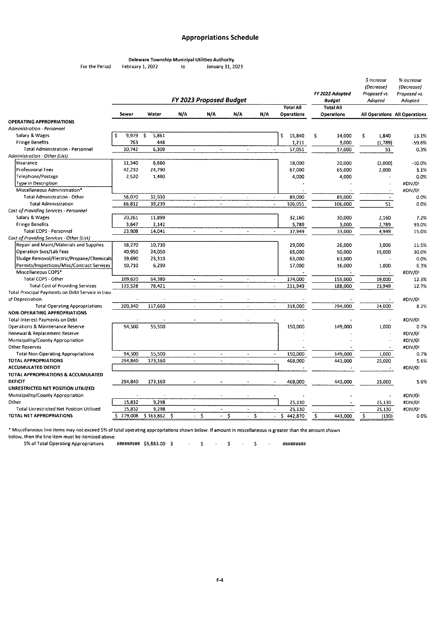#### **Appropriations Schedule**

Deleware Township Municipal Utilities Authority<br>February 1, 2022 to January 31, 2 For the Period February 1, 2022 to January 31, 2023

|                                                                       |            |             | FY 2023 Proposed Budget  |                       |                          |                          |                          |                                       |    | FY 2022 Adopted<br><b>Budget</b>      | S Increase<br>(Decrease)<br>Proposed vs.<br>Adopted |                          | % Increase<br>(Decrease)<br>Proposed vs.<br>Adopted |
|-----------------------------------------------------------------------|------------|-------------|--------------------------|-----------------------|--------------------------|--------------------------|--------------------------|---------------------------------------|----|---------------------------------------|-----------------------------------------------------|--------------------------|-----------------------------------------------------|
|                                                                       | Sewer      | Water       | N/A                      | N/A                   | N/A                      | N/A                      |                          | <b>Total All</b><br><b>Operations</b> |    | <b>Total All</b><br><b>Operations</b> |                                                     |                          | All Operations All Operations                       |
| <b>OPERATING APPROPRIATIONS</b>                                       |            |             |                          |                       |                          |                          |                          |                                       |    |                                       |                                                     |                          |                                                     |
| Administration - Personnel                                            |            |             |                          |                       |                          |                          |                          |                                       |    |                                       |                                                     |                          |                                                     |
| Salary & Wages                                                        | 9,979<br>Ś | \$<br>5,861 |                          |                       |                          |                          |                          | \$<br>15,840                          | Ś  | 14,000                                | \$                                                  | 1,840                    | 13.1%                                               |
| <b>Fringe Benefits</b>                                                | 763        | 448         |                          |                       |                          |                          |                          | 1,211                                 |    | 3,000                                 |                                                     | (1,789)                  | -59.6%                                              |
| <b>Total Administration - Personnel</b>                               | 10.742     | 6,309       | $\overline{\phantom{a}}$ | $\tilde{\phantom{a}}$ |                          | $\overline{\phantom{a}}$ | $\blacksquare$           | 17.051                                |    | 17,000                                |                                                     | 51                       | 0.3%                                                |
| Administration - Other (List)                                         |            |             |                          |                       |                          |                          |                          |                                       |    |                                       |                                                     |                          |                                                     |
| Insurance                                                             | 11,340     | 6,660       |                          |                       |                          |                          |                          | 18,000                                |    | 20,000                                |                                                     | (2,000)                  | $-10.0%$                                            |
| Professional Fees                                                     | 42,210     | 24,790      |                          |                       |                          |                          |                          | 67,000                                |    | 65,000                                |                                                     | 2,000                    | 3.1%                                                |
| Telephone/Postage                                                     | 2,520      | 1,480       |                          |                       |                          |                          |                          | 4,000                                 |    | 4,000                                 |                                                     |                          | 0.0%                                                |
| <b>Type in Description</b>                                            |            |             |                          |                       |                          |                          |                          |                                       |    |                                       |                                                     |                          | #DIV/0!                                             |
| Miscellaneous Administration*                                         |            |             |                          |                       |                          |                          |                          |                                       |    |                                       |                                                     |                          | #DIV/0!                                             |
| Total Administration - Other                                          | 56.070     | 32,930      | $\tilde{\phantom{a}}$    |                       |                          |                          | $\overline{\phantom{a}}$ | 89,000                                |    | 89,000                                |                                                     | $\overline{\phantom{a}}$ | 0.0%                                                |
| <b>Total Administration</b>                                           | 66,812     | 39,239      | $\tilde{\phantom{a}}$    | $\blacksquare$        |                          | $\tilde{\phantom{a}}$    | $\blacksquare$           | 106,051                               |    | 106,000                               |                                                     | 51                       | 0.0%                                                |
| Cost of Providing Services - Personnel                                |            |             |                          |                       |                          |                          |                          |                                       |    |                                       |                                                     |                          |                                                     |
| Salary & Wages                                                        | 20,261     | 11.899      |                          |                       |                          |                          |                          | 32,160                                |    | 30,000                                |                                                     | 2,160                    | 7.2%                                                |
| <b>Fringe Benefits</b>                                                | 3,647      | 2,142       |                          |                       |                          |                          |                          | 5,789                                 |    | 3,000                                 |                                                     | 2,789                    | 93.0%                                               |
| Total COPS - Personnel                                                | 23,908     | 14,041      |                          | $\tilde{\phantom{a}}$ |                          | $\overline{\phantom{a}}$ |                          | 37,949                                |    | 33,000                                |                                                     | 4,949                    | 15.0%                                               |
| Cost of Providing Services - Other (List)                             |            |             |                          |                       |                          |                          |                          |                                       |    |                                       |                                                     |                          |                                                     |
| Repair and Maint/Materials and Supplies                               | 18,270     | 10,730      |                          |                       |                          |                          |                          | 29,000                                |    | 26,000                                |                                                     | 3,000                    | 11.5%                                               |
| Operation Svcs/Lab Fees                                               | 40.950     | 24,050      |                          |                       |                          |                          |                          | 65,000                                |    | 50,000                                |                                                     | 15,000                   | 30.0%                                               |
| Sludge Removal/Electric/Propane/Chemicals                             | 39.690     | 23,310      |                          |                       |                          |                          |                          | 63,000                                |    | 63,000                                |                                                     |                          | 0.0%                                                |
| Permits/Inspections/Misc/Contract Services                            | 10,710     | 6,290       |                          |                       |                          |                          |                          | 17,000                                |    | 16,000                                |                                                     | 1,000                    | 6.3%                                                |
| Miscellaneous COPS*                                                   |            |             |                          |                       |                          |                          |                          |                                       |    |                                       |                                                     |                          |                                                     |
| Total COPS - Other                                                    | 109,620    | 64,380      | $\overline{\phantom{a}}$ | $\tilde{\phantom{a}}$ |                          | $\tilde{\phantom{a}}$    | $_{\star}$               | 174,000                               |    |                                       |                                                     |                          | #DIV/01                                             |
| <b>Total Cost of Providing Services</b>                               | 133,528    | 78,421      |                          |                       |                          |                          |                          |                                       |    | 155,000                               |                                                     | 19,000                   | 12.3%                                               |
| Total Principal Payments on Debt Service in Lieu                      |            |             |                          |                       |                          |                          |                          | 211,949                               |    | 188,000                               |                                                     | 23,949                   | 12.7%                                               |
| of Depreciation                                                       |            |             |                          |                       |                          |                          |                          |                                       |    |                                       |                                                     |                          | #DIV/01                                             |
|                                                                       | 200,340    | 117,660     | $\mathcal{L}$            |                       | $\sim$                   | $\tilde{\phantom{a}}$    | $\overline{\phantom{a}}$ | 318,000                               |    | 294,000                               |                                                     | 24,000                   | 8.2%                                                |
| <b>Total Operating Appropriations</b><br>NON-OPERATING APPROPRIATIONS |            |             |                          |                       |                          |                          |                          |                                       |    |                                       |                                                     |                          |                                                     |
| <b>Total Interest Payments on Debt</b>                                |            |             |                          |                       |                          |                          |                          |                                       |    |                                       |                                                     |                          |                                                     |
| Operations & Maintenance Reserve                                      |            |             |                          |                       |                          |                          |                          |                                       |    |                                       |                                                     |                          | #DIV/0!                                             |
|                                                                       | 94,500     | 55,500      |                          |                       |                          |                          |                          | 150,000                               |    | 149,000                               |                                                     | 1,000                    | 0.7%                                                |
| Renewal & Replacement Reserve                                         |            |             |                          |                       |                          |                          |                          |                                       |    |                                       |                                                     |                          | #DIV/0!                                             |
| Municipality/County Appropriation                                     |            |             |                          |                       |                          |                          |                          |                                       |    |                                       |                                                     |                          | #DIV/0!                                             |
| <b>Other Reserves</b>                                                 |            |             |                          |                       |                          |                          |                          |                                       |    |                                       |                                                     |                          | #DIV/0!                                             |
| <b>Total Non-Operating Appropriations</b>                             | 94.500     | 55,500      | $\blacksquare$           |                       | ÷,                       | $\tilde{\phantom{a}}$    |                          | 150,000                               |    | 149,000                               |                                                     | 1,000                    | 0.7%                                                |
| TOTAL APPROPRIATIONS                                                  | 294,840    | 173,160     | $\blacksquare$           |                       | $\overline{a}$           | $\tilde{\phantom{a}}$    | $\ddot{\phantom{a}}$     | 468,000                               |    | 443,000                               |                                                     | 25,000                   | 5.6%                                                |
| ACCUMULATED DEFICIT                                                   |            |             |                          |                       |                          |                          |                          |                                       |    |                                       |                                                     |                          | #DIV/0!                                             |
| TOTAL APPROPRIATIONS & ACCUMULATED                                    |            |             |                          |                       |                          |                          |                          |                                       |    |                                       |                                                     |                          |                                                     |
| DEFICIT                                                               | 294,840    | 173,160     |                          |                       |                          |                          |                          | 468,000                               |    | 443,000                               |                                                     | 25,000                   | 5.6%                                                |
| UNRESTRICTED NET POSITION UTILIZED                                    |            |             |                          |                       |                          |                          |                          |                                       |    |                                       |                                                     |                          |                                                     |
| Municipality/County Appropriation                                     |            |             |                          |                       |                          |                          |                          |                                       |    |                                       |                                                     |                          | #DIV/0!                                             |
| Other                                                                 | 15.832     | 9,298       |                          |                       |                          |                          |                          | 25,130                                |    |                                       |                                                     | 25,130                   | #DIV/0!                                             |
| <b>Total Unrestricted Net Position Utilized</b>                       | 15.832     | 9,298       | $\tilde{\phantom{a}}$    |                       | $\overline{\phantom{a}}$ |                          |                          | 25,130                                |    |                                       |                                                     | 25,130                   | #DIV/0!                                             |
| TOTAL NET APPROPRIATIONS                                              | \$279,008  | \$163,862   | Ŝ<br>$\omega$            | Ś                     | -S<br>$\omega$           | - \$                     | $\blacksquare$           | \$<br>442,870                         | Š. | 443,000                               | Ś                                                   | (130)                    | 0.0%                                                |

• Miscellaneous line items may not exceed 5% of total operating appropriations shown below. If amount in misce!!aneous is greater than the amount shown below, then the line item must be itemized above.

5% of Total Operating Appropriations ##tl####tl# \$5,883.00 \$ \$ \$ \$ #########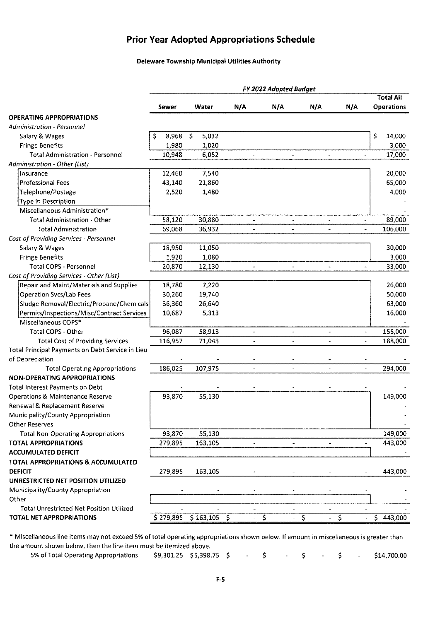#### **Prior Year Adopted Appropriations Schedule**

#### **Deleware Township Municipal Utilities Authority**

|                                                  | FY 2022 Adopted Budget |                              |                          |                        |                          |                       |                                    |  |  |  |  |
|--------------------------------------------------|------------------------|------------------------------|--------------------------|------------------------|--------------------------|-----------------------|------------------------------------|--|--|--|--|
|                                                  |                        |                              |                          |                        |                          |                       | <b>Total All</b>                   |  |  |  |  |
|                                                  | Sewer                  | Water                        | N/A                      | N/A                    | N/A                      | N/A                   | <b>Operations</b>                  |  |  |  |  |
| <b>OPERATING APPROPRIATIONS</b>                  |                        |                              |                          |                        |                          |                       |                                    |  |  |  |  |
| Administration - Personnel                       |                        |                              |                          |                        |                          |                       |                                    |  |  |  |  |
| Salary & Wages                                   | 8,968<br>S             | $\ddot{\mathsf{S}}$<br>5,032 |                          |                        |                          |                       | \$<br>14,000                       |  |  |  |  |
| <b>Fringe Benefits</b>                           | 1,980                  | 1,020                        |                          |                        |                          |                       | 3,000                              |  |  |  |  |
| <b>Total Administration - Personnel</b>          | 10,948                 | 6,052                        |                          |                        | $\blacksquare$           |                       | 17,000                             |  |  |  |  |
| Administration - Other (List)                    |                        |                              |                          |                        |                          |                       |                                    |  |  |  |  |
| Insurance                                        | 12,460                 | 7,540                        |                          |                        |                          |                       | 20,000                             |  |  |  |  |
| <b>Professional Fees</b>                         | 43,140                 | 21,860                       |                          |                        |                          |                       | 65,000                             |  |  |  |  |
| Telephone/Postage                                | 2,520                  | 1,480                        |                          |                        |                          |                       | 4,000                              |  |  |  |  |
| <b>Type In Description</b>                       |                        |                              |                          |                        |                          |                       |                                    |  |  |  |  |
| Miscellaneous Administration*                    |                        |                              |                          |                        |                          |                       |                                    |  |  |  |  |
| <b>Total Administration - Other</b>              | 58,120                 | 30,880                       |                          |                        |                          |                       | 89,000<br>$\bar{a}$                |  |  |  |  |
| <b>Total Administration</b>                      | 69,068                 | 36,932                       |                          |                        |                          |                       | 106,000                            |  |  |  |  |
| Cost of Providing Services - Personnel           |                        |                              |                          |                        |                          |                       |                                    |  |  |  |  |
| Salary & Wages                                   | 18,950                 | 11,050                       |                          |                        |                          |                       | 30,000                             |  |  |  |  |
| <b>Fringe Benefits</b>                           | 1,920                  | 1,080                        |                          |                        |                          |                       | 3,000                              |  |  |  |  |
| <b>Total COPS - Personnel</b>                    | 20,870                 | 12,130                       | $\overline{\phantom{a}}$ |                        | $\overline{\phantom{a}}$ | $\tilde{\phantom{a}}$ | 33,000<br>$\overline{\phantom{a}}$ |  |  |  |  |
| Cost of Providing Services - Other (List)        |                        |                              |                          |                        |                          |                       |                                    |  |  |  |  |
| Repair and Maint/Materials and Supplies          | 18,780                 | 7,220                        |                          |                        |                          |                       | 26,000                             |  |  |  |  |
| <b>Operation Svcs/Lab Fees</b>                   | 30,260                 | 19,740                       |                          |                        |                          |                       | 50,000                             |  |  |  |  |
| Sludge Removal/Electric/Propane/Chemicals        | 36,360                 | 26,640                       |                          |                        |                          |                       | 63,000                             |  |  |  |  |
| Permits/inspections/Misc/Contract Services       | 10,687                 | 5,313                        |                          |                        |                          |                       | 16,000                             |  |  |  |  |
| Miscellaneous COPS*                              |                        |                              |                          |                        |                          |                       |                                    |  |  |  |  |
| <b>Total COPS - Other</b>                        | 96,087                 | 58,913                       |                          |                        | $\ddot{\phantom{1}}$     |                       | 155,000<br>$\ddot{\phantom{1}}$    |  |  |  |  |
| <b>Total Cost of Providing Services</b>          | 116,957                | 71,043                       |                          |                        | $\ddot{\phantom{0}}$     |                       | 188,000                            |  |  |  |  |
| Total Principal Payments on Debt Service in Lieu |                        |                              |                          |                        |                          |                       |                                    |  |  |  |  |
| of Depreciation                                  |                        |                              |                          |                        |                          |                       |                                    |  |  |  |  |
| <b>Total Operating Appropriations</b>            | 186,025                | 107,975                      | $\overline{\phantom{a}}$ |                        |                          |                       | 294,000<br>$\overline{a}$          |  |  |  |  |
| <b>NON-OPERATING APPROPRIATIONS</b>              |                        |                              |                          |                        |                          |                       |                                    |  |  |  |  |
| <b>Total Interest Payments on Debt</b>           |                        |                              |                          |                        |                          |                       |                                    |  |  |  |  |
| <b>Operations &amp; Maintenance Reserve</b>      | 93,870                 | 55,130                       |                          |                        |                          |                       | 149,000                            |  |  |  |  |
| Renewal & Replacement Reserve                    |                        |                              |                          |                        |                          |                       |                                    |  |  |  |  |
| Municipality/County Appropriation                |                        |                              |                          |                        |                          |                       |                                    |  |  |  |  |
| Other Reserves                                   |                        |                              |                          |                        |                          |                       |                                    |  |  |  |  |
| <b>Total Non-Operating Appropriations</b>        | 93,870                 | 55,130                       |                          |                        |                          |                       | 149,000                            |  |  |  |  |
| <b>TOTAL APPROPRIATIONS</b>                      | 279,895                | 163,105                      |                          |                        |                          |                       | 443,000<br>٠                       |  |  |  |  |
| <b>ACCUMULATED DEFICIT</b>                       |                        |                              |                          |                        |                          |                       |                                    |  |  |  |  |
| TOTAL APPROPRIATIONS & ACCUMULATED               |                        |                              |                          |                        |                          |                       |                                    |  |  |  |  |
| <b>DEFICIT</b>                                   | 279,895                | 163,105                      |                          |                        |                          |                       | 443,000                            |  |  |  |  |
| UNRESTRICTED NET POSITION UTILIZED               |                        |                              |                          |                        |                          |                       |                                    |  |  |  |  |
| Municipality/County Appropriation                |                        |                              |                          |                        |                          |                       |                                    |  |  |  |  |
| Other                                            |                        |                              |                          |                        |                          |                       |                                    |  |  |  |  |
| <b>Total Unrestricted Net Position Utilized</b>  |                        |                              |                          |                        |                          |                       |                                    |  |  |  |  |
| TOTAL NET APPROPRIATIONS                         |                        | \$279,895 \$163,105 \$       |                          | $\overline{\varsigma}$ | \$                       | $\hat{\mathsf{S}}$    | $\overline{5}$ 443,000             |  |  |  |  |

\* **Miscellaneous line items may not exceed 5% of total operating appropriations shown below. If amount in miscellaneous is greater than the amount shown below, then the line item must be itemized above.** 

5% ofTotal Operating Appropriations \$9,301.25 \$5,398.75 \$ \$ \$ \$ \$14,700.00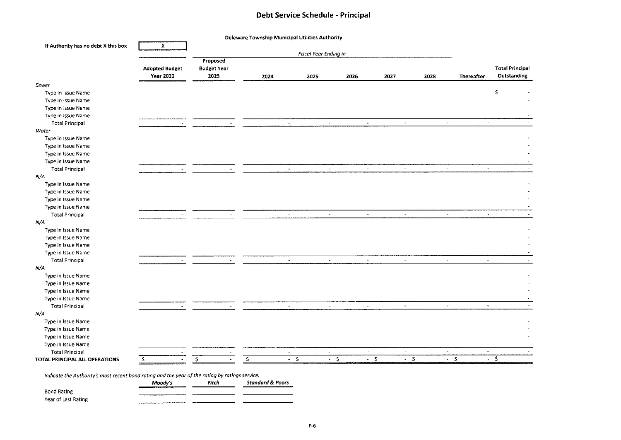#### **Debt Service Schedule** - **Principal**

| If Authority has no debt X this box | $\boldsymbol{\mathsf{X}}$                 |                                        |                          |                                      |                          |                                  |        |                                            |                                       |
|-------------------------------------|-------------------------------------------|----------------------------------------|--------------------------|--------------------------------------|--------------------------|----------------------------------|--------|--------------------------------------------|---------------------------------------|
|                                     | <b>Adopted Budget</b><br><b>Year 2022</b> | Proposed<br><b>Budget Year</b><br>2023 | 2024                     | <b>Fiscal Year Ending in</b><br>2025 | 2026                     | 2027                             | 2028   | Thereafter                                 | <b>Total Principal</b><br>Outstanding |
| Sewer                               |                                           |                                        |                          |                                      |                          |                                  |        |                                            |                                       |
| Type in Issue Name                  |                                           |                                        |                          |                                      |                          |                                  |        |                                            | \$                                    |
| Type in Issue Name                  |                                           |                                        |                          |                                      |                          |                                  |        |                                            |                                       |
| Type in Issue Name                  |                                           |                                        |                          |                                      |                          |                                  |        |                                            |                                       |
| Type in Issue Name                  |                                           |                                        |                          |                                      |                          |                                  |        |                                            |                                       |
| <b>Total Principal</b>              |                                           |                                        |                          | $\overline{\phantom{a}}$             | $\blacksquare$           | $\omega$                         |        | $\ddot{\phantom{a}}$<br>÷,                 |                                       |
| Water                               |                                           |                                        |                          |                                      |                          |                                  |        |                                            |                                       |
| Type in Issue Name                  |                                           |                                        |                          |                                      |                          |                                  |        |                                            |                                       |
| Type in Issue Name                  |                                           |                                        |                          |                                      |                          |                                  |        |                                            |                                       |
| Type in Issue Name                  |                                           |                                        |                          |                                      |                          |                                  |        |                                            |                                       |
| Type in Issue Name                  |                                           |                                        |                          |                                      |                          |                                  |        |                                            |                                       |
| <b>Total Principal</b>              |                                           |                                        | $\sim$                   | $\sim$                               | $\sim$                   | $\alpha$                         | $\sim$ | $\bullet$                                  |                                       |
| N/A                                 |                                           |                                        |                          |                                      |                          |                                  |        |                                            |                                       |
| Type in Issue Name                  |                                           |                                        |                          |                                      |                          |                                  |        |                                            |                                       |
| Type in Issue Name                  |                                           |                                        |                          |                                      |                          |                                  |        |                                            |                                       |
| Type in Issue Name                  |                                           |                                        |                          |                                      |                          |                                  |        |                                            |                                       |
| Type in Issue Name                  |                                           |                                        |                          |                                      |                          |                                  |        |                                            |                                       |
| <b>Total Principal</b>              |                                           |                                        | $\omega$                 | $\ddot{\phantom{a}}$                 | $\blacksquare$           | $\blacksquare$                   |        | $\blacksquare$<br>$_{\star}$               |                                       |
| N/A                                 |                                           |                                        |                          |                                      |                          |                                  |        |                                            |                                       |
| Type in Issue Name                  |                                           |                                        |                          |                                      |                          |                                  |        |                                            |                                       |
| Type in Issue Name                  |                                           |                                        |                          |                                      |                          |                                  |        |                                            |                                       |
| Type in Issue Name                  |                                           |                                        |                          |                                      |                          |                                  |        |                                            |                                       |
| Type in Issue Name                  |                                           |                                        |                          |                                      |                          |                                  |        |                                            |                                       |
| <b>Total Principal</b>              |                                           |                                        | $\overline{\phantom{a}}$ | $\bullet$                            | $\tilde{\phantom{a}}$    | $\sim$                           |        | $\blacksquare$<br>$\overline{\phantom{a}}$ |                                       |
| N/A                                 |                                           |                                        |                          |                                      |                          |                                  |        |                                            |                                       |
| Type in Issue Name                  |                                           |                                        |                          |                                      |                          |                                  |        |                                            |                                       |
| Type in Issue Name                  |                                           |                                        |                          |                                      |                          |                                  |        |                                            |                                       |
|                                     |                                           |                                        |                          |                                      |                          |                                  |        |                                            |                                       |
| Type in Issue Name                  |                                           |                                        |                          |                                      |                          |                                  |        |                                            |                                       |
| Type in Issue Name                  |                                           |                                        | $\tilde{\phantom{a}}$    | $\blacksquare$                       | $\overline{\phantom{a}}$ | $\omega$                         |        | $_{\rm w}$<br>$\bullet$                    |                                       |
| <b>Total Principal</b>              |                                           |                                        |                          |                                      |                          |                                  |        |                                            |                                       |
| N/A                                 |                                           |                                        |                          |                                      |                          |                                  |        |                                            |                                       |
| Type in Issue Name                  |                                           |                                        |                          |                                      |                          |                                  |        |                                            |                                       |
| Type in Issue Name                  |                                           |                                        |                          |                                      |                          |                                  |        |                                            |                                       |
| Type in Issue Name                  |                                           |                                        |                          |                                      |                          |                                  |        |                                            |                                       |
| Type in Issue Name                  |                                           |                                        |                          |                                      |                          |                                  |        |                                            |                                       |
| <b>Total Principal</b>              |                                           |                                        | $\sim$                   | $\sim$                               | $\sim$                   | $\sim$                           | $\sim$ | $\blacksquare$                             |                                       |
| TOTAL PRINCIPAL ALL OPERATIONS      | \$                                        | Ś.                                     | \$                       | $-5$                                 | $-5$                     | $-5$<br>$\overline{\phantom{a}}$ |        | $\overline{\cdot}$ \$                      | $-5$                                  |

Bond Rating  $\sim$  $\overline{\phantom{0}}$ Year of Last Rating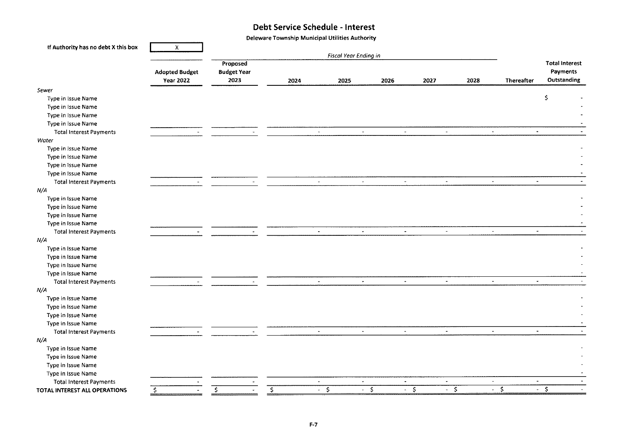#### **Debt Service Schedule** - **Interest**

Deleware Township Municipal Utilities Authority

| If Authority has no debt X this box | X.                    |                       |  |      |                          |      |                          |                       |                       |      |          |                          |                       |
|-------------------------------------|-----------------------|-----------------------|--|------|--------------------------|------|--------------------------|-----------------------|-----------------------|------|----------|--------------------------|-----------------------|
|                                     |                       | Fiscal Year Ending in |  |      |                          |      |                          |                       |                       |      |          |                          |                       |
|                                     |                       | Proposed              |  |      |                          |      |                          |                       |                       |      |          |                          | <b>Total Interest</b> |
|                                     | <b>Adopted Budget</b> | <b>Budget Year</b>    |  |      |                          |      |                          |                       |                       |      |          |                          | Payments              |
|                                     | <b>Year 2022</b>      | 2023                  |  | 2024 |                          | 2025 | 2026                     |                       | 2027                  | 2028 |          | <b>Thereafter</b>        | Outstanding           |
| Sewer                               |                       |                       |  |      |                          |      |                          |                       |                       |      |          |                          |                       |
| Type in Issue Name                  |                       |                       |  |      |                          |      |                          |                       |                       |      |          |                          | \$                    |
| Type in Issue Name                  |                       |                       |  |      |                          |      |                          |                       |                       |      |          |                          |                       |
| Type in Issue Name                  |                       |                       |  |      |                          |      |                          |                       |                       |      |          |                          |                       |
| Type in Issue Name                  |                       |                       |  |      |                          |      |                          |                       |                       |      |          |                          |                       |
| <b>Total Interest Payments</b>      |                       |                       |  |      | $\tilde{\mathcal{A}}$    |      | $\sim$                   | $\sim$                | $\sim$                |      | $\sim$   | $\star$                  |                       |
| <b>Water</b>                        |                       |                       |  |      |                          |      |                          |                       |                       |      |          |                          |                       |
| Type in Issue Name                  |                       |                       |  |      |                          |      |                          |                       |                       |      |          |                          |                       |
| Type in Issue Name                  |                       |                       |  |      |                          |      |                          |                       |                       |      |          |                          |                       |
| Type in Issue Name                  |                       |                       |  |      |                          |      |                          |                       |                       |      |          |                          |                       |
| Type in Issue Name                  |                       |                       |  |      |                          |      |                          |                       |                       |      |          |                          |                       |
| <b>Total Interest Payments</b>      |                       |                       |  |      | $\sim$                   |      | $\bullet$                | $\sim$                | $\sim$                |      | $\omega$ | $\blacksquare$           |                       |
| N/A                                 |                       |                       |  |      |                          |      |                          |                       |                       |      |          |                          |                       |
| Type in Issue Name                  |                       |                       |  |      |                          |      |                          |                       |                       |      |          |                          |                       |
| Type in Issue Name                  |                       |                       |  |      |                          |      |                          |                       |                       |      |          |                          |                       |
| Type in Issue Name                  |                       |                       |  |      |                          |      |                          |                       |                       |      |          |                          |                       |
| Type in Issue Name                  |                       |                       |  |      |                          |      |                          |                       |                       |      |          |                          |                       |
| <b>Total Interest Payments</b>      |                       |                       |  |      | $\blacksquare$           |      | $\sim$                   | $\bullet$             | $\sim$                |      | $\sim$   | $\overline{\phantom{a}}$ |                       |
| N/A                                 |                       |                       |  |      |                          |      |                          |                       |                       |      |          |                          |                       |
| Type in Issue Name                  |                       |                       |  |      |                          |      |                          |                       |                       |      |          |                          |                       |
| Type in Issue Name                  |                       |                       |  |      |                          |      |                          |                       |                       |      |          |                          |                       |
| Type in Issue Name                  |                       |                       |  |      |                          |      |                          |                       |                       |      |          |                          |                       |
| Type in Issue Name                  |                       |                       |  |      |                          |      |                          |                       |                       |      |          |                          |                       |
| <b>Total Interest Payments</b>      |                       |                       |  |      | $\sim$                   |      | $\blacksquare$           | $\omega$              | $\blacksquare$        |      | $\omega$ | $\blacksquare$           |                       |
| $\Lambda/\Lambda$                   |                       |                       |  |      |                          |      |                          |                       |                       |      |          |                          |                       |
| Type in Issue Name                  |                       |                       |  |      |                          |      |                          |                       |                       |      |          |                          |                       |
| Type in Issue Name                  |                       |                       |  |      |                          |      |                          |                       |                       |      |          |                          |                       |
| Type in Issue Name                  |                       |                       |  |      |                          |      |                          |                       |                       |      |          |                          |                       |
| Type in Issue Name                  |                       |                       |  |      |                          |      |                          |                       |                       |      |          |                          |                       |
| <b>Total Interest Payments</b>      |                       |                       |  |      | $\omega$                 |      | $\omega$                 | $\omega$              | $\omega$              |      | $\sim$   | $\blacksquare$           |                       |
| N/A                                 |                       |                       |  |      |                          |      |                          |                       |                       |      |          |                          |                       |
| Type in Issue Name                  |                       |                       |  |      |                          |      |                          |                       |                       |      |          |                          |                       |
| Type in Issue Name                  |                       |                       |  |      |                          |      |                          |                       |                       |      |          |                          |                       |
| Type in Issue Name                  |                       |                       |  |      |                          |      |                          |                       |                       |      |          |                          |                       |
| Type in Issue Name                  |                       |                       |  |      |                          |      |                          |                       |                       |      |          |                          |                       |
| <b>Total Interest Payments</b>      |                       |                       |  |      | $\overline{\phantom{a}}$ |      | $\overline{\phantom{a}}$ | $\bullet$             | $\tilde{\phantom{a}}$ |      | $\sim$   | $\overline{\phantom{a}}$ |                       |
| TOTAL INTEREST ALL OPERATIONS       | $\mathsf{S}$          | s.                    |  | \$   | $-$ \$                   |      | $-5$                     | -\$<br>$\mathbf{a}$ . |                       | $-5$ |          | -\$                      | $-5$                  |